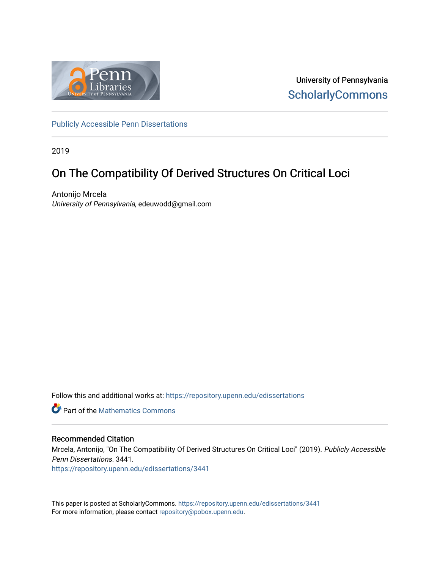

University of Pennsylvania **ScholarlyCommons** 

[Publicly Accessible Penn Dissertations](https://repository.upenn.edu/edissertations)

2019

### On The Compatibility Of Derived Structures On Critical Loci

Antonijo Mrcela University of Pennsylvania, edeuwodd@gmail.com

Follow this and additional works at: [https://repository.upenn.edu/edissertations](https://repository.upenn.edu/edissertations?utm_source=repository.upenn.edu%2Fedissertations%2F3441&utm_medium=PDF&utm_campaign=PDFCoverPages) 

**P** Part of the [Mathematics Commons](http://network.bepress.com/hgg/discipline/174?utm_source=repository.upenn.edu%2Fedissertations%2F3441&utm_medium=PDF&utm_campaign=PDFCoverPages)

#### Recommended Citation

Mrcela, Antonijo, "On The Compatibility Of Derived Structures On Critical Loci" (2019). Publicly Accessible Penn Dissertations. 3441.

[https://repository.upenn.edu/edissertations/3441](https://repository.upenn.edu/edissertations/3441?utm_source=repository.upenn.edu%2Fedissertations%2F3441&utm_medium=PDF&utm_campaign=PDFCoverPages) 

This paper is posted at ScholarlyCommons.<https://repository.upenn.edu/edissertations/3441> For more information, please contact [repository@pobox.upenn.edu.](mailto:repository@pobox.upenn.edu)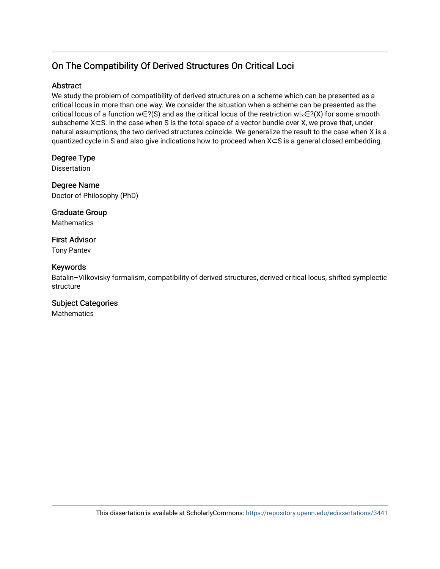### On The Compatibility Of Derived Structures On Critical Loci

#### Abstract

We study the problem of compatibility of derived structures on a scheme which can be presented as a critical locus in more than one way. We consider the situation when a scheme can be presented as the critical locus of a function w∈?(S) and as the critical locus of the restriction w| $\times \in$ ?(X) for some smooth subscheme X⊂S. In the case when S is the total space of a vector bundle over X, we prove that, under natural assumptions, the two derived structures coincide. We generalize the result to the case when X is a quantized cycle in S and also give indications how to proceed when X⊂S is a general closed embedding.

### Degree Type

**Dissertation** 

Degree Name Doctor of Philosophy (PhD)

Graduate Group **Mathematics** 

First Advisor Tony Pantev

#### Keywords

Batalin–Vilkovisky formalism, compatibility of derived structures, derived critical locus, shifted symplectic structure

### Subject Categories

**Mathematics**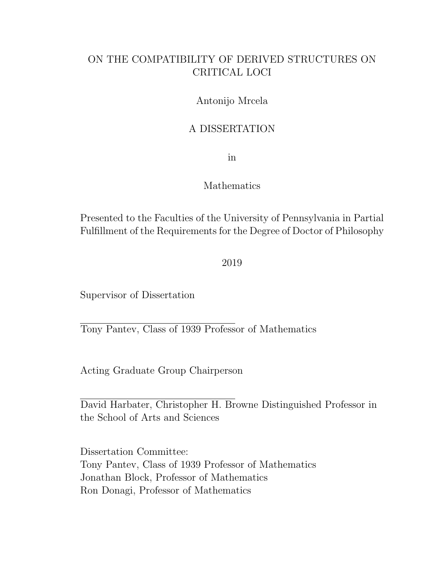### ON THE COMPATIBILITY OF DERIVED STRUCTURES ON CRITICAL LOCI

### Antonijo Mrcela

### A DISSERTATION

in

#### Mathematics

Presented to the Faculties of the University of Pennsylvania in Partial Fulfillment of the Requirements for the Degree of Doctor of Philosophy

2019

Supervisor of Dissertation

Tony Pantev, Class of 1939 Professor of Mathematics

Acting Graduate Group Chairperson

David Harbater, Christopher H. Browne Distinguished Professor in the School of Arts and Sciences

Dissertation Committee: Tony Pantev, Class of 1939 Professor of Mathematics Jonathan Block, Professor of Mathematics Ron Donagi, Professor of Mathematics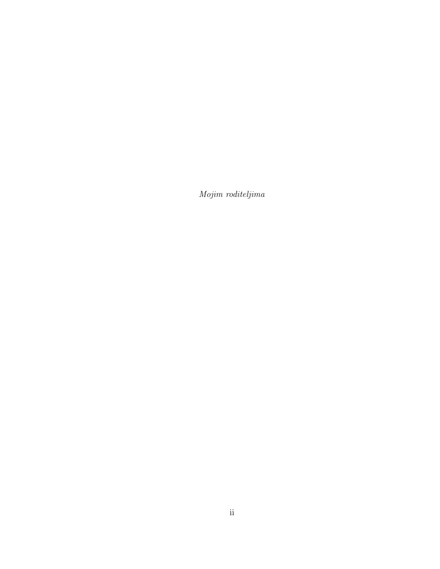Mojim roditeljima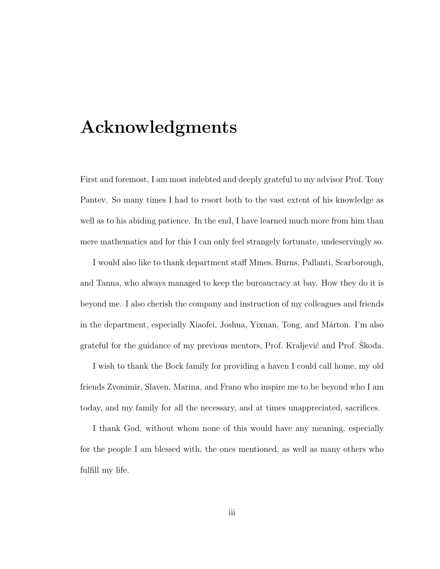# Acknowledgments

First and foremost, I am most indebted and deeply grateful to my advisor Prof. Tony Pantev. So many times I had to resort both to the vast extent of his knowledge as well as to his abiding patience. In the end, I have learned much more from him than mere mathematics and for this I can only feel strangely fortunate, undeservingly so.

I would also like to thank department staff Mmes. Burns, Pallanti, Scarborough, and Tanna, who always managed to keep the bureaucracy at bay. How they do it is beyond me. I also cherish the company and instruction of my colleagues and friends in the department, especially Xiaofei, Joshua, Yixuan, Tong, and Márton. I'm also grateful for the guidance of my previous mentors, Prof. Kraljević and Prof. Skoda.

I wish to thank the Bock family for providing a haven I could call home, my old friends Zvonimir, Slaven, Marina, and Frano who inspire me to be beyond who I am today, and my family for all the necessary, and at times unappreciated, sacrifices.

I thank God, without whom none of this would have any meaning, especially for the people I am blessed with, the ones mentioned, as well as many others who fulfill my life.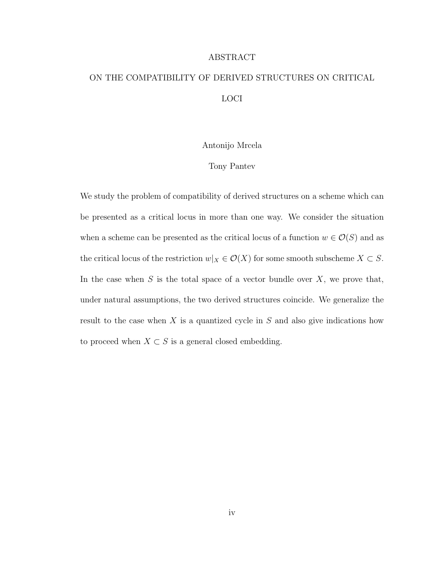#### ABSTRACT

### ON THE COMPATIBILITY OF DERIVED STRUCTURES ON CRITICAL LOCI

#### Antonijo Mrcela

#### Tony Pantev

We study the problem of compatibility of derived structures on a scheme which can be presented as a critical locus in more than one way. We consider the situation when a scheme can be presented as the critical locus of a function  $w \in \mathcal{O}(S)$  and as the critical locus of the restriction  $w|_X \in \mathcal{O}(X)$  for some smooth subscheme  $X \subset S$ . In the case when  $S$  is the total space of a vector bundle over  $X$ , we prove that, under natural assumptions, the two derived structures coincide. We generalize the result to the case when  $X$  is a quantized cycle in  $S$  and also give indications how to proceed when  $X\subset S$  is a general closed embedding.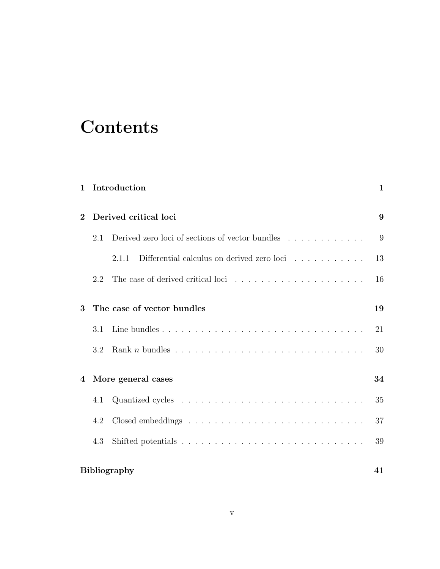# **Contents**

| 1                                     |                     | Introduction                                        | 1  |
|---------------------------------------|---------------------|-----------------------------------------------------|----|
| Derived critical loci<br>$\mathbf{2}$ |                     |                                                     | 9  |
|                                       | 2.1                 | Derived zero loci of sections of vector bundles     | 9  |
|                                       |                     | Differential calculus on derived zero loci<br>2.1.1 | 13 |
|                                       | 2.2                 |                                                     | 16 |
| The case of vector bundles<br>3       |                     |                                                     | 19 |
|                                       | 3.1                 |                                                     | 21 |
|                                       | 3.2                 |                                                     | 30 |
| $\overline{4}$                        | More general cases  |                                                     | 34 |
|                                       | 4.1                 |                                                     | 35 |
|                                       | 4.2                 |                                                     | 37 |
|                                       | 4.3                 |                                                     | 39 |
|                                       | <b>Bibliography</b> |                                                     |    |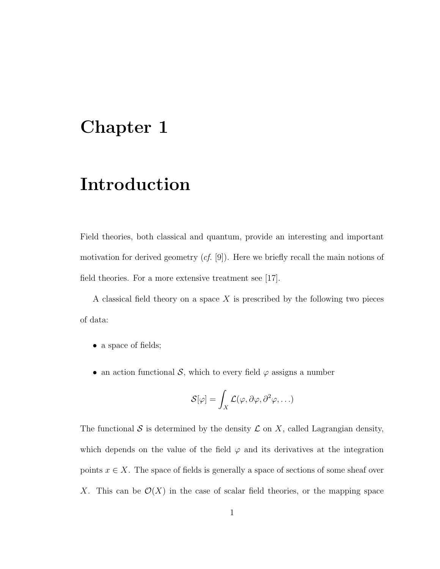# <span id="page-7-0"></span>Chapter 1

# Introduction

Field theories, both classical and quantum, provide an interesting and important motivation for derived geometry  $(cf. [9])$  $(cf. [9])$  $(cf. [9])$ . Here we briefly recall the main notions of field theories. For a more extensive treatment see [\[17\]](#page-49-0).

A classical field theory on a space  $X$  is prescribed by the following two pieces of data:

- a space of fields;
- an action functional S, which to every field  $\varphi$  assigns a number

$$
\mathcal{S}[\varphi] = \int_X \mathcal{L}(\varphi, \partial \varphi, \partial^2 \varphi, \ldots)
$$

The functional S is determined by the density  $\mathcal L$  on X, called Lagrangian density, which depends on the value of the field  $\varphi$  and its derivatives at the integration points  $x \in X$ . The space of fields is generally a space of sections of some sheaf over X. This can be  $\mathcal{O}(X)$  in the case of scalar field theories, or the mapping space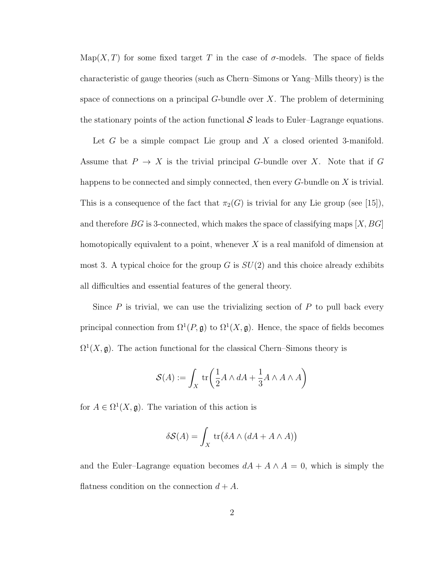Map(X, T) for some fixed target T in the case of  $\sigma$ -models. The space of fields characteristic of gauge theories (such as Chern–Simons or Yang–Mills theory) is the space of connections on a principal  $G$ -bundle over  $X$ . The problem of determining the stationary points of the action functional  $\mathcal S$  leads to Euler–Lagrange equations.

Let  $G$  be a simple compact Lie group and  $X$  a closed oriented 3-manifold. Assume that  $P \to X$  is the trivial principal G-bundle over X. Note that if G happens to be connected and simply connected, then every  $G$ -bundle on  $X$  is trivial. This is a consequence of the fact that  $\pi_2(G)$  is trivial for any Lie group (see [\[15\]](#page-48-1)), and therefore BG is 3-connected, which makes the space of classifying maps  $[X, BG]$ homotopically equivalent to a point, whenever  $X$  is a real manifold of dimension at most 3. A typical choice for the group G is  $SU(2)$  and this choice already exhibits all difficulties and essential features of the general theory.

Since  $P$  is trivial, we can use the trivializing section of  $P$  to pull back every principal connection from  $\Omega^1(P, \mathfrak{g})$  to  $\Omega^1(X, \mathfrak{g})$ . Hence, the space of fields becomes  $\Omega^1(X, \mathfrak{g})$ . The action functional for the classical Chern–Simons theory is

$$
\mathcal{S}(A) := \int_X \text{tr}\left(\frac{1}{2}A \wedge dA + \frac{1}{3}A \wedge A \wedge A\right)
$$

for  $A \in \Omega^1(X, \mathfrak{g})$ . The variation of this action is

$$
\delta S(A) = \int_X \text{tr}(\delta A \wedge (dA + A \wedge A))
$$

and the Euler–Lagrange equation becomes  $dA + A \wedge A = 0$ , which is simply the flatness condition on the connection  $d + A$ .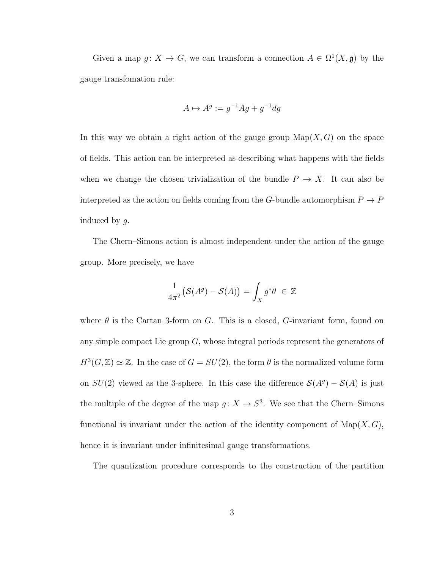Given a map  $g: X \to G$ , we can transform a connection  $A \in \Omega^1(X, \mathfrak{g})$  by the gauge transfomation rule:

$$
A \mapsto A^g := g^{-1} A g + g^{-1} dg
$$

In this way we obtain a right action of the gauge group  $\text{Map}(X, G)$  on the space of fields. This action can be interpreted as describing what happens with the fields when we change the chosen trivialization of the bundle  $P \to X$ . It can also be interpreted as the action on fields coming from the  $G\text{-}\mathrm{bundle}$  automorphism  $P\to P$ induced by g.

The Chern–Simons action is almost independent under the action of the gauge group. More precisely, we have

$$
\frac{1}{4\pi^2} \big( \mathcal{S}(A^g) - \mathcal{S}(A) \big) = \int_X g^* \theta \ \in \ \mathbb{Z}
$$

where  $\theta$  is the Cartan 3-form on G. This is a closed, G-invariant form, found on any simple compact Lie group  $G$ , whose integral periods represent the generators of  $H^3(G, \mathbb{Z}) \simeq \mathbb{Z}$ . In the case of  $G = SU(2)$ , the form  $\theta$  is the normalized volume form on  $SU(2)$  viewed as the 3-sphere. In this case the difference  $\mathcal{S}(A^g) - \mathcal{S}(A)$  is just the multiple of the degree of the map  $g: X \to S^3$ . We see that the Chern–Simons functional is invariant under the action of the identity component of  $\text{Map}(X, G)$ , hence it is invariant under infinitesimal gauge transformations.

The quantization procedure corresponds to the construction of the partition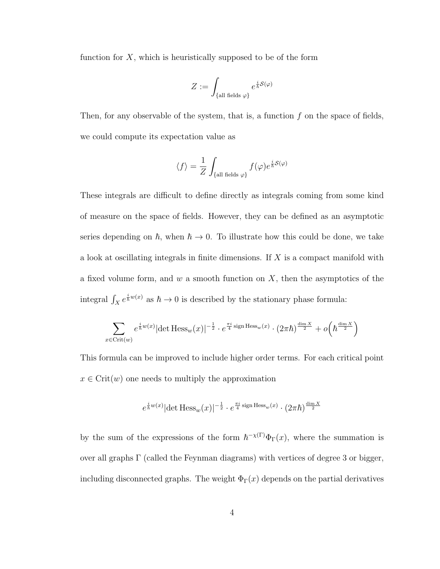function for  $X$ , which is heuristically supposed to be of the form

$$
Z:=\int_{\{\text{all fields }\varphi\}} e^{\frac{i}{\hbar}\mathcal{S}(\varphi)}
$$

Then, for any observable of the system, that is, a function  $f$  on the space of fields, we could compute its expectation value as

$$
\langle f \rangle = \frac{1}{Z} \int_{\{\text{all fields }\varphi\}} f(\varphi) e^{\frac{i}{\hbar}S(\varphi)}
$$

These integrals are difficult to define directly as integrals coming from some kind of measure on the space of fields. However, they can be defined as an asymptotic series depending on  $h$ , when  $h \to 0$ . To illustrate how this could be done, we take a look at oscillating integrals in finite dimensions. If  $X$  is a compact manifold with a fixed volume form, and w a smooth function on  $X$ , then the asymptotics of the integral  $\int_X e^{\frac{i}{\hbar}w(x)}$  as  $\hbar \to 0$  is described by the stationary phase formula:

$$
\sum_{x \in \text{Crit}(w)} e^{\frac{i}{\hbar}w(x)} |\text{det Hess}_w(x)|^{-\frac{1}{2}} \cdot e^{\frac{\pi i}{4} \text{sign Hess}_w(x)} \cdot (2\pi \hbar)^{\frac{\dim X}{2}} + o\left(\hbar^{\frac{\dim X}{2}}\right)
$$

This formula can be improved to include higher order terms. For each critical point  $x \in \text{Crit}(w)$  one needs to multiply the approximation

$$
e^{\frac{i}{\hbar}w(x)}|\text{det Hess}_w(x)|^{-\frac{1}{2}} \cdot e^{\frac{\pi i}{4}\text{sign Hess}_w(x)} \cdot (2\pi\hbar)^{\frac{\text{dim } X}{2}}
$$

by the sum of the expressions of the form  $\hbar^{-\chi(\Gamma)}\Phi_{\Gamma}(x)$ , where the summation is over all graphs Γ (called the Feynman diagrams) with vertices of degree 3 or bigger, including disconnected graphs. The weight  $\Phi_{\Gamma}(x)$  depends on the partial derivatives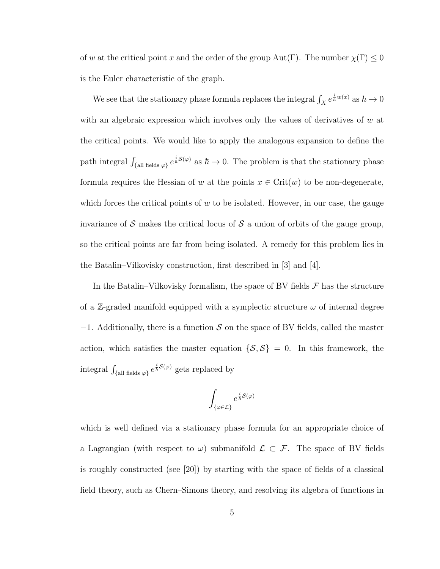of w at the critical point x and the order of the group  $Aut(\Gamma)$ . The number  $\chi(\Gamma) \leq 0$ is the Euler characteristic of the graph.

We see that the stationary phase formula replaces the integral  $\int_X e^{\frac{i}{\hbar}w(x)}$  as  $\hbar \to 0$ with an algebraic expression which involves only the values of derivatives of  $w$  at the critical points. We would like to apply the analogous expansion to define the path integral  $\int_{\{\text{all fields }\varphi\}} e^{\frac{i}{\hbar}S(\varphi)}$  as  $\hbar \to 0$ . The problem is that the stationary phase formula requires the Hessian of w at the points  $x \in \text{Crit}(w)$  to be non-degenerate, which forces the critical points of  $w$  to be isolated. However, in our case, the gauge invariance of S makes the critical locus of S a union of orbits of the gauge group, so the critical points are far from being isolated. A remedy for this problem lies in the Batalin–Vilkovisky construction, first described in [\[3\]](#page-47-1) and [\[4\]](#page-47-2).

In the Batalin–Vilkovisky formalism, the space of BV fields  $\mathcal F$  has the structure of a Z-graded manifold equipped with a symplectic structure  $\omega$  of internal degree  $-1$ . Additionally, there is a function S on the space of BV fields, called the master action, which satisfies the master equation  $\{S, S\} = 0$ . In this framework, the integral  $\int_{\{\text{all fields }\varphi\}} e^{\frac{i}{\hbar}S(\varphi)}$  gets replaced by

$$
\int_{\{\varphi\in\mathcal{L}\}}e^{\frac{i}{\hbar}\mathcal{S}(\varphi)}
$$

which is well defined via a stationary phase formula for an appropriate choice of a Lagrangian (with respect to  $\omega$ ) submanifold  $\mathcal{L} \subset \mathcal{F}$ . The space of BV fields is roughly constructed (see [\[20\]](#page-49-1)) by starting with the space of fields of a classical field theory, such as Chern–Simons theory, and resolving its algebra of functions in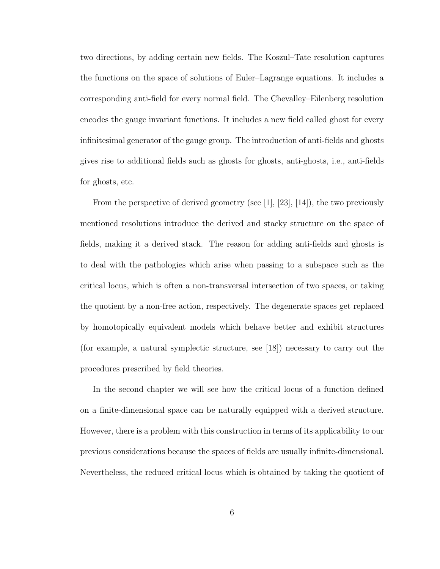two directions, by adding certain new fields. The Koszul–Tate resolution captures the functions on the space of solutions of Euler–Lagrange equations. It includes a corresponding anti-field for every normal field. The Chevalley–Eilenberg resolution encodes the gauge invariant functions. It includes a new field called ghost for every infinitesimal generator of the gauge group. The introduction of anti-fields and ghosts gives rise to additional fields such as ghosts for ghosts, anti-ghosts, i.e., anti-fields for ghosts, etc.

From the perspective of derived geometry (see  $|1|, |23|, |14|$ ), the two previously mentioned resolutions introduce the derived and stacky structure on the space of fields, making it a derived stack. The reason for adding anti-fields and ghosts is to deal with the pathologies which arise when passing to a subspace such as the critical locus, which is often a non-transversal intersection of two spaces, or taking the quotient by a non-free action, respectively. The degenerate spaces get replaced by homotopically equivalent models which behave better and exhibit structures (for example, a natural symplectic structure, see [\[18\]](#page-49-2)) necessary to carry out the procedures prescribed by field theories.

In the second chapter we will see how the critical locus of a function defined on a finite-dimensional space can be naturally equipped with a derived structure. However, there is a problem with this construction in terms of its applicability to our previous considerations because the spaces of fields are usually infinite-dimensional. Nevertheless, the reduced critical locus which is obtained by taking the quotient of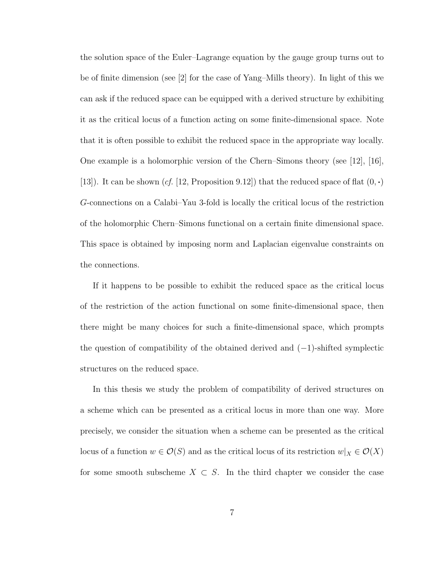the solution space of the Euler–Lagrange equation by the gauge group turns out to be of finite dimension (see [\[2\]](#page-47-4) for the case of Yang–Mills theory). In light of this we can ask if the reduced space can be equipped with a derived structure by exhibiting it as the critical locus of a function acting on some finite-dimensional space. Note that it is often possible to exhibit the reduced space in the appropriate way locally. One example is a holomorphic version of the Chern–Simons theory (see [\[12\]](#page-48-3), [\[16\]](#page-49-3), [\[13\]](#page-48-4)). It can be shown (cf. [\[12,](#page-48-3) Proposition 9.12]) that the reduced space of flat  $(0, \cdot)$ G-connections on a Calabi–Yau 3-fold is locally the critical locus of the restriction of the holomorphic Chern–Simons functional on a certain finite dimensional space. This space is obtained by imposing norm and Laplacian eigenvalue constraints on the connections.

If it happens to be possible to exhibit the reduced space as the critical locus of the restriction of the action functional on some finite-dimensional space, then there might be many choices for such a finite-dimensional space, which prompts the question of compatibility of the obtained derived and  $(-1)$ -shifted symplectic structures on the reduced space.

In this thesis we study the problem of compatibility of derived structures on a scheme which can be presented as a critical locus in more than one way. More precisely, we consider the situation when a scheme can be presented as the critical locus of a function  $w \in \mathcal{O}(S)$  and as the critical locus of its restriction  $w|_X \in \mathcal{O}(X)$ for some smooth subscheme  $X \subset S$ . In the third chapter we consider the case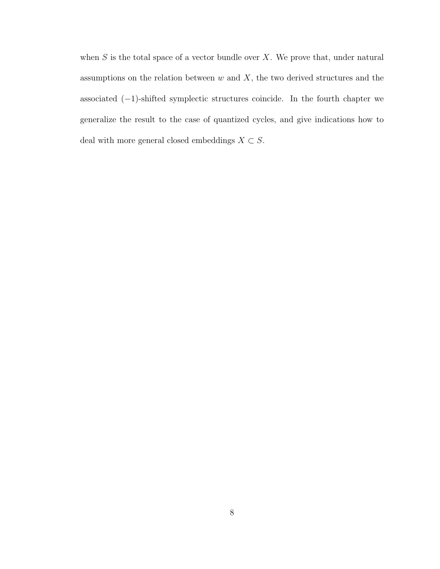when  $S$  is the total space of a vector bundle over  $X$ . We prove that, under natural assumptions on the relation between  $w$  and  $X$ , the two derived structures and the associated  $(-1)$ -shifted symplectic structures coincide. In the fourth chapter we generalize the result to the case of quantized cycles, and give indications how to deal with more general closed embeddings  $X\subset S.$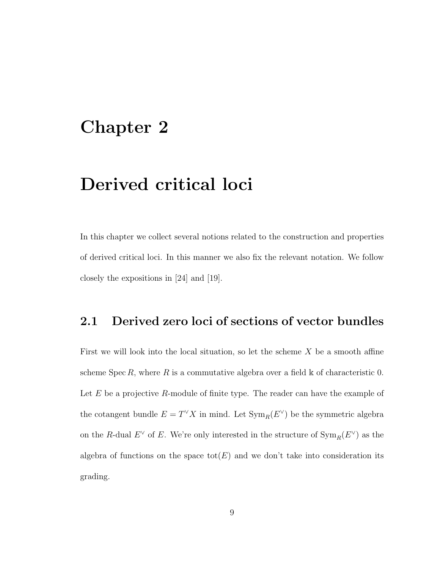# <span id="page-15-0"></span>Chapter 2

# Derived critical loci

In this chapter we collect several notions related to the construction and properties of derived critical loci. In this manner we also fix the relevant notation. We follow closely the expositions in [\[24\]](#page-50-1) and [\[19\]](#page-49-4).

### <span id="page-15-1"></span>2.1 Derived zero loci of sections of vector bundles

First we will look into the local situation, so let the scheme  $X$  be a smooth affine scheme Spec R, where R is a commutative algebra over a field  $\&$  of characteristic 0. Let  $E$  be a projective  $R$ -module of finite type. The reader can have the example of the cotangent bundle  $E = T^{\vee} X$  in mind. Let  $\text{Sym}_R(E^{\vee})$  be the symmetric algebra on the R-dual  $E^{\vee}$  of E. We're only interested in the structure of  $\text{Sym}_R(E^{\vee})$  as the algebra of functions on the space  $\text{tot}(E)$  and we don't take into consideration its grading.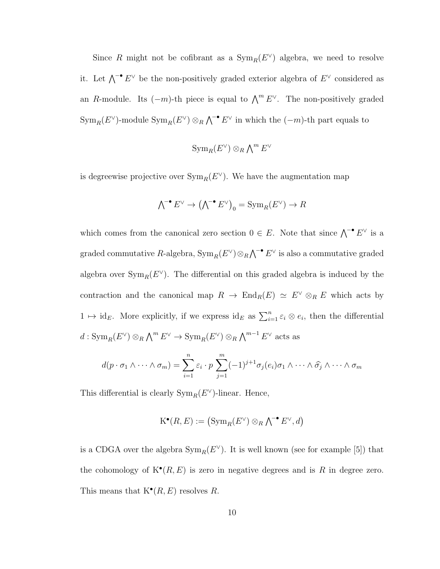Since R might not be cofibrant as a  $\text{Sym}_R(E^{\vee})$  algebra, we need to resolve it. Let  $\bigwedge^{\bullet} E^{\vee}$  be the non-positively graded exterior algebra of  $E^{\vee}$  considered as an R-module. Its  $(-m)$ -th piece is equal to  $\bigwedge^m E^{\vee}$ . The non-positively graded  $\text{Sym}_R(E^{\vee})$ -module  $\text{Sym}_R(E^{\vee}) \otimes_R \bigwedge^{\bullet} E^{\vee}$  in which the  $(-m)$ -th part equals to

$$
\operatorname{Sym}_R(E^{\vee})\otimes_R{\textstyle\bigwedge}^m E^{\vee}
$$

is degreewise projective over  $\text{Sym}_R(E^{\vee})$ . We have the augmentation map

$$
\textstyle{\bigwedge}^{\bullet} E^{\vee} \to \textstyle(\textstyle{\bigwedge}^{\bullet} E^{\vee}\textstyle{)}_0 = \text{Sym}_R(E^{\vee}) \to R
$$

which comes from the canonical zero section  $0 \in E$ . Note that since  $\bigwedge^{\bullet} E^{\vee}$  is a graded commutative R-algebra,  $\text{Sym}_R(E^{\vee}) \otimes_R \bigwedge^{\bullet} E^{\vee}$  is also a commutative graded algebra over  $\text{Sym}_R(E^{\vee})$ . The differential on this graded algebra is induced by the contraction and the canonical map  $R \to \text{End}_R(E) \simeq E^{\vee} \otimes_R E$  which acts by  $1 \mapsto id_E$ . More explicitly, if we express  $id_E$  as  $\sum_{i=1}^n \varepsilon_i \otimes e_i$ , then the differential  $d: \text{Sym}_R(E^{\vee}) \otimes_R \bigwedge^m E^{\vee} \to \text{Sym}_R(E^{\vee}) \otimes_R \bigwedge^{m-1} E^{\vee}$  acts as

$$
d(p \cdot \sigma_1 \wedge \cdots \wedge \sigma_m) = \sum_{i=1}^n \varepsilon_i \cdot p \sum_{j=1}^m (-1)^{j+1} \sigma_j(e_i) \sigma_1 \wedge \cdots \wedge \widehat{\sigma_j} \wedge \cdots \wedge \sigma_m
$$

This differential is clearly  $\text{Sym}_R(E^{\vee})$ -linear. Hence,

$$
\mathrm{K}^\bullet(R,E):=\left(\mathrm{Sym}_R(E^\vee)\otimes_R {\textstyle\bigwedge}^{\!\!\!\bullet}\, E^\vee,d\right)
$$

is a CDGA over the algebra  $\text{Sym}_R(E^{\vee})$ . It is well known (see for example [\[5\]](#page-47-5)) that the cohomology of  $K^{\bullet}(R, E)$  is zero in negative degrees and is R in degree zero. This means that  $K^{\bullet}(R, E)$  resolves R.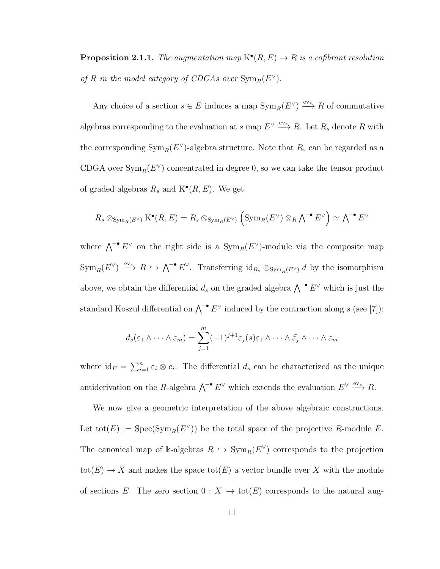**Proposition 2.1.1.** The augmentation map  $K^{\bullet}(R, E) \to R$  is a cofibrant resolution of R in the model category of CDGAs over  $\text{Sym}_R(E^{\vee})$ .

Any choice of a section  $s \in E$  induces a map  $\text{Sym}_R(E^{\vee}) \xrightarrow{\text{ev}_s} R$  of commutative algebras corresponding to the evaluation at s map  $E^{\vee} \xrightarrow{\text{ev}_s} R$ . Let  $R_s$  denote R with the corresponding  $\text{Sym}_R(E^{\vee})$ -algebra structure. Note that  $R_s$  can be regarded as a CDGA over  $\text{Sym}_R(E^{\vee})$  concentrated in degree 0, so we can take the tensor product of graded algebras  $R_s$  and  $\mathcal{K}^{\bullet}(R,E)$ . We get

$$
R_s \otimes_{\mathrm{Sym}_R(E^{\vee})} \mathrm{K}^{\bullet}(R,E) = R_s \otimes_{\mathrm{Sym}_R(E^{\vee})} \left( \mathrm{Sym}_R(E^{\vee}) \otimes_R \wedge^{-\bullet} E^{\vee} \right) \simeq \wedge^{-\bullet} E^{\vee}
$$

where  $\bigwedge^{\bullet} E^{\vee}$  on the right side is a  $\text{Sym}_R(E^{\vee})$ -module via the composite map  $\text{Sym}_R(E^{\vee}) \stackrel{\text{ev}_s}{\longrightarrow} R \hookrightarrow \bigwedge^{\bullet} E^{\vee}$ . Transferring  $\text{id}_{R_s} \otimes_{\text{Sym}_R(E^{\vee})} d$  by the isomorphism above, we obtain the differential  $d_s$  on the graded algebra  $\bigwedge^{\bullet} E^{\vee}$  which is just the standard Koszul differential on  $\bigwedge^{-\bullet} E^{\vee}$  induced by the contraction along s (see [\[7\]](#page-48-5)):

$$
d_s(\varepsilon_1 \wedge \cdots \wedge \varepsilon_m) = \sum_{j=1}^m (-1)^{j+1} \varepsilon_j(s) \varepsilon_1 \wedge \cdots \wedge \widehat{\varepsilon_j} \wedge \cdots \wedge \varepsilon_m
$$

where  $id_E = \sum_{i=1}^n \varepsilon_i \otimes e_i$ . The differential  $d_s$  can be characterized as the unique antiderivation on the R-algebra  $\bigwedge^{-\bullet} E^{\vee}$  which extends the evaluation  $E^{\vee} \stackrel{\text{ev}_s}{\longrightarrow} R$ .

We now give a geometric interpretation of the above algebraic constructions. Let  $\text{tot}(E) := \text{Spec}(\text{Sym}_R(E^{\vee}))$  be the total space of the projective R-module E. The canonical map of k-algebras  $R \hookrightarrow \text{Sym}_R(E^{\vee})$  corresponds to the projection tot(E)  $\rightarrow X$  and makes the space tot(E) a vector bundle over X with the module of sections E. The zero section  $0: X \hookrightarrow \text{tot}(E)$  corresponds to the natural aug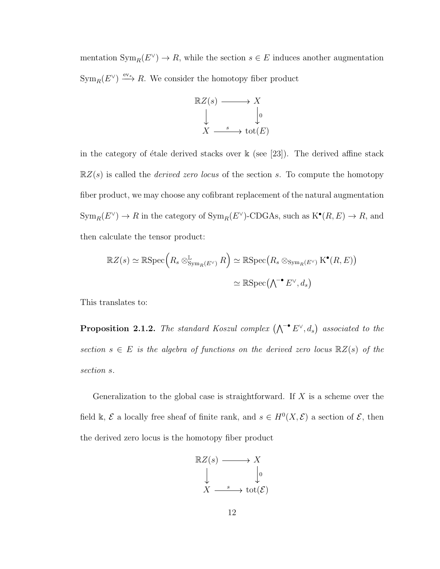mentation  $\text{Sym}_R(E^{\vee}) \to R$ , while the section  $s \in E$  induces another augmentation  $\text{Sym}_R(E^{\vee}) \stackrel{\text{ev}_s}{\longrightarrow} R$ . We consider the homotopy fiber product



in the category of étale derived stacks over  $k$  (see [\[23\]](#page-50-0)). The derived affine stack  $\mathbb{R}Z(s)$  is called the *derived zero locus* of the section s. To compute the homotopy fiber product, we may choose any cofibrant replacement of the natural augmentation  $\text{Sym}_R(E^{\vee}) \to R$  in the category of  $\text{Sym}_R(E^{\vee})$ -CDGAs, such as  $K^{\bullet}(R, E) \to R$ , and then calculate the tensor product:

$$
\mathbb{R}Z(s) \simeq \mathbb{R}\mathrm{Spec}\left(R_s \otimes_{\mathrm{Sym}_R(E^{\vee})}^{\mathbb{L}} R\right) \simeq \mathbb{R}\mathrm{Spec}\left(R_s \otimes_{\mathrm{Sym}_R(E^{\vee})} \mathrm{K}^{\bullet}(R, E)\right)
$$

$$
\simeq \mathbb{R}\mathrm{Spec}(\bigwedge^{\bullet} E^{\vee}, d_s)
$$

This translates to:

**Proposition 2.1.2.** The standard Koszul complex  $(\bigwedge^{\bullet} E^{\vee}, d_s)$  associated to the section  $s \in E$  is the algebra of functions on the derived zero locus  $\mathbb{R}Z(s)$  of the section s.

Generalization to the global case is straightforward. If  $X$  is a scheme over the field k,  $\mathcal E$  a locally free sheaf of finite rank, and  $s \in H^0(X, \mathcal E)$  a section of  $\mathcal E$ , then the derived zero locus is the homotopy fiber product

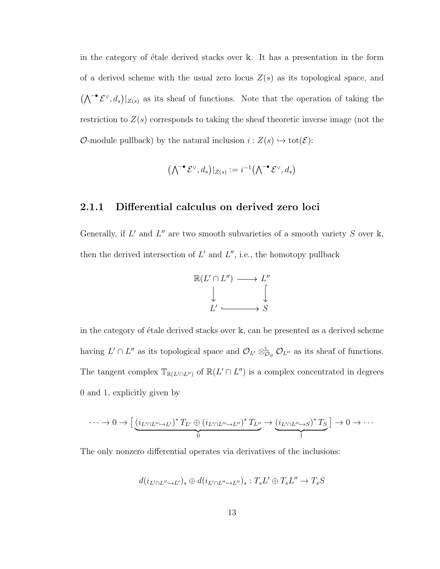in the category of étale derived stacks over  $\mathbb{k}$ . It has a presentation in the form of a derived scheme with the usual zero locus  $Z(s)$  as its topological space, and  $(\bigwedge^{\bullet} \mathcal{E}^{\vee}, d_s)|_{Z(s)}$  as its sheaf of functions. Note that the operation of taking the restriction to  $Z(s)$  corresponds to taking the sheaf theoretic inverse image (not the O-module pullback) by the natural inclusion  $i : Z(s) \hookrightarrow \text{tot}(\mathcal{E})$ :

$$
(\textstyle \bigwedge^{\textstyle-\bullet} \mathcal{E}^{\vee},d_s\big)|_{Z(s)}:=i^{-1}\bigl(\textstyle \bigwedge^{\textstyle-\bullet} \mathcal{E}^{\vee},d_s\bigr)
$$

#### <span id="page-19-0"></span>2.1.1 Differential calculus on derived zero loci

Generally, if  $L'$  and  $L''$  are two smooth subvarieties of a smooth variety S over k, then the derived intersection of  $L'$  and  $L''$ , i.e., the homotopy pullback



in the category of étale derived stacks over  $\mathbb{k}$ , can be presented as a derived scheme having  $L' \cap L''$  as its topological space and  $\mathcal{O}_{L'} \otimes_{\mathcal{O}_S}^{\mathbb{L}} \mathcal{O}_{L''}$  as its sheaf of functions. The tangent complex  $\mathbb{T}_{\mathbb{R}(L' \cap L'')}$  of  $\mathbb{R}(L' \cap L'')$  is a complex concentrated in degrees 0 and 1, explicitly given by

$$
\cdots \to 0 \to \left[ \underbrace{(i_{L' \cap L'' \to L'})^* T_{L'} \oplus (i_{L' \cap L'' \to L''})^* T_{L''}}_{0} \to \underbrace{(i_{L' \cap L'' \to S})^* T_S}_{1} \right] \to 0 \to \cdots
$$

The only nonzero differential operates via derivatives of the inclusions:

$$
d(i_{L'\cap L'' \hookrightarrow L'})_s \oplus d(i_{L'\cap L'' \hookrightarrow L''})_s : T_sL' \oplus T_sL'' \to T_sS
$$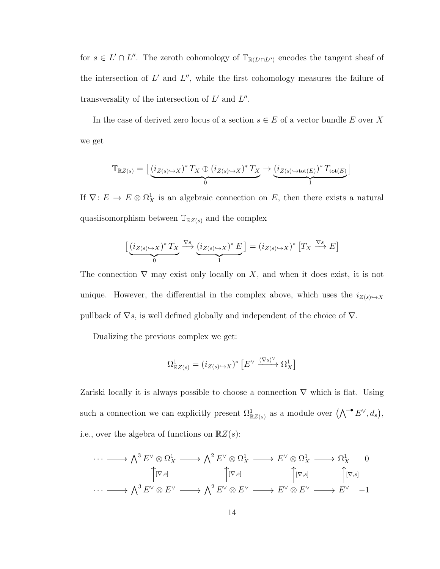for  $s \in L' \cap L''$ . The zeroth cohomology of  $\mathbb{T}_{\mathbb{R}(L' \cap L'')}$  encodes the tangent sheaf of the intersection of  $L'$  and  $L''$ , while the first cohomology measures the failure of transversality of the intersection of  $L'$  and  $L''$ .

In the case of derived zero locus of a section  $s \in E$  of a vector bundle E over X we get

$$
\mathbb{T}_{\mathbb{R}Z(s)} = \left[ \underbrace{(i_{Z(s)\hookrightarrow X})^* T_X \oplus (i_{Z(s)\hookrightarrow X})^* T_X}_{0} \rightarrow \underbrace{(i_{Z(s)\hookrightarrow \text{tot}(E)})^* T_{\text{tot}(E)}}_{1} \right]
$$

If  $\nabla: E \to E \otimes \Omega^1_X$  is an algebraic connection on E, then there exists a natural quasiisomorphism between  $\mathbb{T}_{\mathbb{R}Z(s)}$  and the complex

$$
\left[ \underbrace{(i_{Z(s)\hookrightarrow X})^* T_X}_{0} \xrightarrow{\nabla s} \underbrace{(i_{Z(s)\hookrightarrow X})^* E}_{1} \right] = (i_{Z(s)\hookrightarrow X})^* \left[ T_X \xrightarrow{\nabla s} E \right]
$$

The connection  $\nabla$  may exist only locally on X, and when it does exist, it is not unique. However, the differential in the complex above, which uses the  $i_{Z(s)\rightarrow X}$ pullback of  $\nabla s$ , is well defined globally and independent of the choice of  $\nabla$ .

Dualizing the previous complex we get:

$$
\Omega^1_{\mathbb{R}Z(s)} = (i_{Z(s)\hookrightarrow X})^* \left[ E^\vee \xrightarrow{(\nabla s)^\vee} \Omega^1_X \right]
$$

Zariski locally it is always possible to choose a connection  $\nabla$  which is flat. Using such a connection we can explicitly present  $\Omega_{\mathbb{R}Z(s)}^1$  as a module over  $(\bigwedge^{\bullet} E^{\vee}, d_s),$ i.e., over the algebra of functions on  $\mathbb{R}Z(s)$ :

$$
\cdots \longrightarrow \bigwedge^3 E^{\vee} \otimes \Omega^1_X \longrightarrow \bigwedge^2 E^{\vee} \otimes \Omega^1_X \longrightarrow E^{\vee} \otimes \Omega^1_X \longrightarrow \Omega^1_X \longrightarrow 0
$$
  

$$
\uparrow [\nabla, s] \qquad \qquad \uparrow [\nabla, s] \qquad \qquad \uparrow [\nabla, s] \qquad \qquad \uparrow [\nabla, s]
$$
  

$$
\cdots \longrightarrow \bigwedge^3 E^{\vee} \otimes E^{\vee} \longrightarrow \bigwedge^2 E^{\vee} \otimes E^{\vee} \longrightarrow E^{\vee} \otimes E^{\vee} \longrightarrow E^{\vee} \longrightarrow E^{\vee} \longrightarrow 1
$$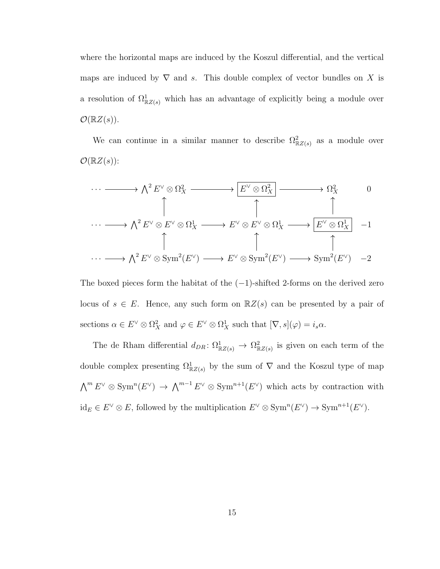where the horizontal maps are induced by the Koszul differential, and the vertical maps are induced by  $\nabla$  and s. This double complex of vector bundles on X is a resolution of  $\Omega^1_{\mathbb{R}Z(s)}$  which has an advantage of explicitly being a module over  $\mathcal{O}(\mathbb{R}Z(s)).$ 

We can continue in a similar manner to describe  $\Omega_{\mathbb{R}Z(s)}^2$  as a module over  $\mathcal{O}(\mathbb{R}Z(s))$ :

$$
\cdots \longrightarrow \bigwedge^2 E^{\vee} \otimes \Omega_X^2 \longrightarrow \boxed{E^{\vee} \otimes \Omega_X^2} \longrightarrow \Omega_X^2 \longrightarrow 0
$$
  
\n
$$
\uparrow \qquad \qquad \uparrow \qquad \qquad \uparrow
$$
  
\n
$$
\cdots \longrightarrow \bigwedge^2 E^{\vee} \otimes E^{\vee} \otimes \Omega_X^1 \longrightarrow E^{\vee} \otimes E^{\vee} \otimes \Omega_X^1 \longrightarrow \boxed{E^{\vee} \otimes \Omega_X^1} \longrightarrow 1
$$
  
\n
$$
\uparrow \qquad \qquad \uparrow \qquad \qquad \uparrow
$$
  
\n
$$
\cdots \longrightarrow \bigwedge^2 E^{\vee} \otimes \text{Sym}^2(E^{\vee}) \longrightarrow E^{\vee} \otimes \text{Sym}^2(E^{\vee}) \longrightarrow \text{Sym}^2(E^{\vee}) \longrightarrow 2
$$

The boxed pieces form the habitat of the  $(-1)$ -shifted 2-forms on the derived zero locus of  $s \in E$ . Hence, any such form on  $\mathbb{R}Z(s)$  can be presented by a pair of sections  $\alpha \in E^{\vee} \otimes \Omega_X^2$  and  $\varphi \in E^{\vee} \otimes \Omega_X^1$  such that  $[\nabla, s](\varphi) = i_s \alpha$ .

The de Rham differential  $d_{DR}: \Omega^1_{\mathbb{R}Z(s)} \to \Omega^2_{\mathbb{R}Z(s)}$  is given on each term of the double complex presenting  $\Omega^1_{\mathbb{R}Z(s)}$  by the sum of  $\nabla$  and the Koszul type of map  $\bigwedge^m E^{\vee} \otimes \text{Sym}^n(E^{\vee}) \to \bigwedge^{m-1} E^{\vee} \otimes \text{Sym}^{n+1}(E^{\vee})$  which acts by contraction with  $\mathrm{id}_E \in E^{\vee} \otimes E$ , followed by the multiplication  $E^{\vee} \otimes \mathrm{Sym}^n(E^{\vee}) \to \mathrm{Sym}^{n+1}(E^{\vee})$ .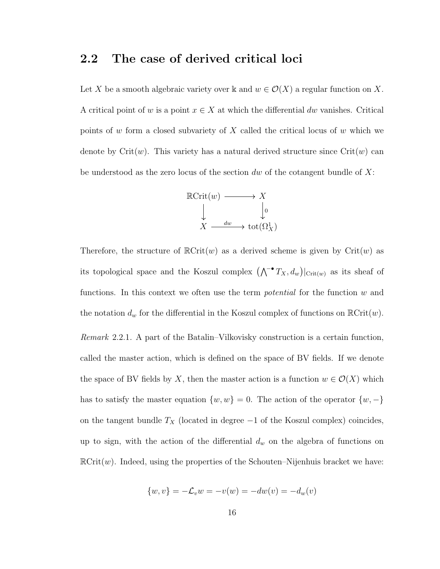### <span id="page-22-0"></span>2.2 The case of derived critical loci

Let X be a smooth algebraic variety over k and  $w \in \mathcal{O}(X)$  a regular function on X. A critical point of w is a point  $x \in X$  at which the differential dw vanishes. Critical points of w form a closed subvariety of X called the critical locus of w which we denote by  $\text{Crit}(w)$ . This variety has a natural derived structure since  $\text{Crit}(w)$  can be understood as the zero locus of the section dw of the cotangent bundle of  $X$ :



Therefore, the structure of  $\mathbb{R}\text{Crit}(w)$  as a derived scheme is given by  $\text{Crit}(w)$  as its topological space and the Koszul complex  $(\bigwedge^{\bullet} T_X, d_w)|_{\text{Crit}(w)}$  as its sheaf of functions. In this context we often use the term *potential* for the function  $w$  and the notation  $d_w$  for the differential in the Koszul complex of functions on  $\mathbb{R}\mathrm{Crit}(w)$ . Remark 2.2.1. A part of the Batalin–Vilkovisky construction is a certain function, called the master action, which is defined on the space of BV fields. If we denote the space of BV fields by X, then the master action is a function  $w \in \mathcal{O}(X)$  which has to satisfy the master equation  $\{w, w\} = 0$ . The action of the operator  $\{w, -\}$ on the tangent bundle  $T_X$  (located in degree  $-1$  of the Koszul complex) coincides, up to sign, with the action of the differential  $d_w$  on the algebra of functions on  $\mathbb{R}\text{Crit}(w)$ . Indeed, using the properties of the Schouten–Nijenhuis bracket we have:

$$
\{w, v\} = -\mathcal{L}_v w = -v(w) = -dw(v) = -d_w(v)
$$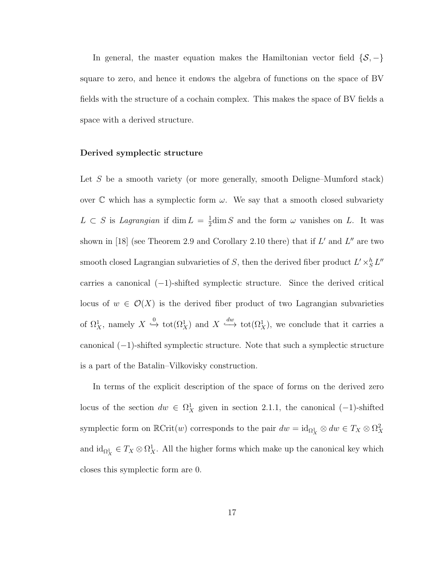In general, the master equation makes the Hamiltonian vector field  $\{S, -\}$ square to zero, and hence it endows the algebra of functions on the space of BV fields with the structure of a cochain complex. This makes the space of BV fields a space with a derived structure.

#### Derived symplectic structure

Let S be a smooth variety (or more generally, smooth Deligne–Mumford stack) over  $\mathbb C$  which has a symplectic form  $\omega$ . We say that a smooth closed subvariety  $L \subset S$  is *Lagrangian* if dim  $L = \frac{1}{2}$  $\frac{1}{2}$ dim S and the form  $\omega$  vanishes on L. It was shown in [\[18\]](#page-49-2) (see Theorem 2.9 and Corollary 2.10 there) that if  $L'$  and  $L''$  are two smooth closed Lagrangian subvarieties of S, then the derived fiber product  $L' \times_S^h L''$ carries a canonical (−1)-shifted symplectic structure. Since the derived critical locus of  $w \in \mathcal{O}(X)$  is the derived fiber product of two Lagrangian subvarieties of  $\Omega^1_X$ , namely  $X \stackrel{0}{\hookrightarrow} \text{tot}(\Omega^1_X)$  and  $X \stackrel{dw}{\hookrightarrow} \text{tot}(\Omega^1_X)$ , we conclude that it carries a canonical (−1)-shifted symplectic structure. Note that such a symplectic structure is a part of the Batalin–Vilkovisky construction.

In terms of the explicit description of the space of forms on the derived zero locus of the section  $dw \in \Omega^1_X$  given in section [2.1.1,](#page-19-0) the canonical (-1)-shifted symplectic form on  $\mathbb{R}\text{Crit}(w)$  corresponds to the pair  $dw = \text{id}_{\Omega^1_X} \otimes dw \in T_X \otimes \Omega^2_X$ and  $\mathrm{id}_{\Omega^1_X} \in T_X \otimes \Omega^1_X$ . All the higher forms which make up the canonical key which closes this symplectic form are 0.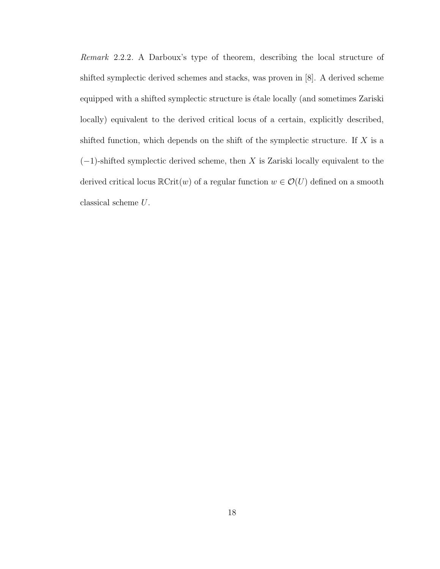Remark 2.2.2. A Darboux's type of theorem, describing the local structure of shifted symplectic derived schemes and stacks, was proven in [\[8\]](#page-48-6). A derived scheme equipped with a shifted symplectic structure is étale locally (and sometimes Zariski locally) equivalent to the derived critical locus of a certain, explicitly described, shifted function, which depends on the shift of the symplectic structure. If  $X$  is a  $(-1)$ -shifted symplectic derived scheme, then X is Zariski locally equivalent to the derived critical locus  $\mathbb{R}\text{Crit}(w)$  of a regular function  $w \in \mathcal{O}(U)$  defined on a smooth classical scheme  ${\cal U}.$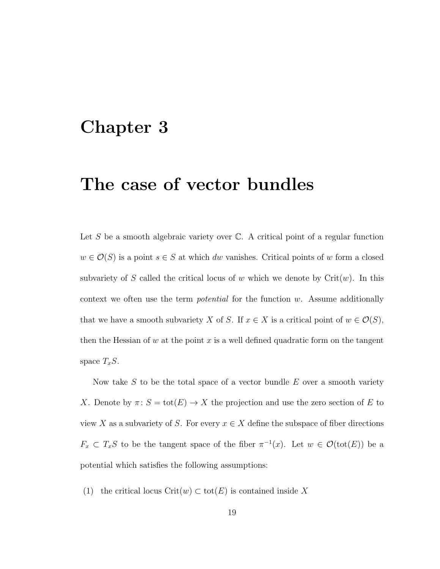# <span id="page-25-0"></span>Chapter 3

## The case of vector bundles

Let  $S$  be a smooth algebraic variety over  $\mathbb{C}$ . A critical point of a regular function  $w \in \mathcal{O}(S)$  is a point  $s \in S$  at which dw vanishes. Critical points of w form a closed subvariety of S called the critical locus of w which we denote by  $\mathrm{Crit}(w)$ . In this context we often use the term *potential* for the function  $w$ . Assume additionally that we have a smooth subvariety X of S. If  $x \in X$  is a critical point of  $w \in \mathcal{O}(S)$ , then the Hessian of  $w$  at the point  $x$  is a well defined quadratic form on the tangent space  $T_xS$ .

Now take  $S$  to be the total space of a vector bundle  $E$  over a smooth variety X. Denote by  $\pi: S = \text{tot}(E) \to X$  the projection and use the zero section of E to view X as a subvariety of S. For every  $x \in X$  define the subspace of fiber directions  $F_x \subset T_xS$  to be the tangent space of the fiber  $\pi^{-1}(x)$ . Let  $w \in \mathcal{O}(\text{tot}(E))$  be a potential which satisfies the following assumptions:

(1) the critical locus Crit $(w) \subset \text{tot}(E)$  is contained inside X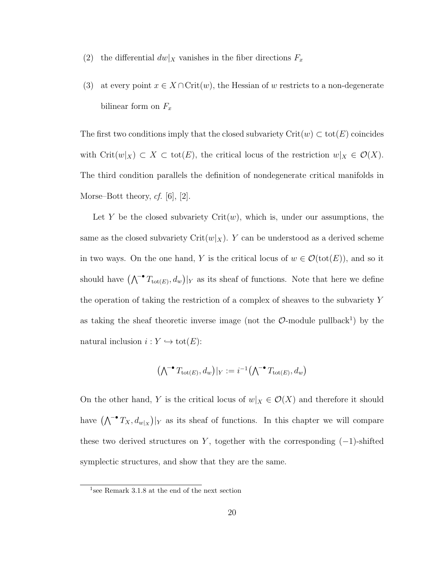- (2) the differential  $dw|_X$  vanishes in the fiber directions  $F_x$
- (3) at every point  $x \in X \cap \text{Crit}(w)$ , the Hessian of w restricts to a non-degenerate bilinear form on  $F_x$

The first two conditions imply that the closed subvariety  $\mathrm{Crit}(w) \subset \mathrm{tot}(E)$  coincides with Crit $(w|_X) \subset X \subset \text{tot}(E)$ , the critical locus of the restriction  $w|_X \in \mathcal{O}(X)$ . The third condition parallels the definition of nondegenerate critical manifolds in Morse–Bott theory,  $cf.$  [\[6\]](#page-47-6), [\[2\]](#page-47-4).

Let Y be the closed subvariety  $Crit(w)$ , which is, under our assumptions, the same as the closed subvariety Crit $(w|_X)$ . Y can be understood as a derived scheme in two ways. On the one hand, Y is the critical locus of  $w \in \mathcal{O}(\text{tot}(E))$ , and so it should have  $(\bigwedge^{\bullet} T_{\text{tot}(E)}, d_w)|_Y$  as its sheaf of functions. Note that here we define the operation of taking the restriction of a complex of sheaves to the subvariety Y as taking the sheaf theoretic inverse image (not the  $\mathcal{O}\text{-module pullback}^1$  $\mathcal{O}\text{-module pullback}^1$ ) by the natural inclusion  $i : Y \hookrightarrow \text{tot}(E)$ :

$$
(\bigwedge^{\bullet} T_{\text{tot}(E)}, d_w)|_Y := i^{-1}(\bigwedge^{\bullet} T_{\text{tot}(E)}, d_w)
$$

On the other hand, Y is the critical locus of  $w|_X \in \mathcal{O}(X)$  and therefore it should have  $(\bigwedge^{\bullet} T_X, d_{w|X})|_Y$  as its sheaf of functions. In this chapter we will compare these two derived structures on Y, together with the corresponding  $(-1)$ -shifted symplectic structures, and show that they are the same.

<span id="page-26-0"></span><sup>1</sup> see Remark 3.1.[8](#page-35-0) at the end of the next section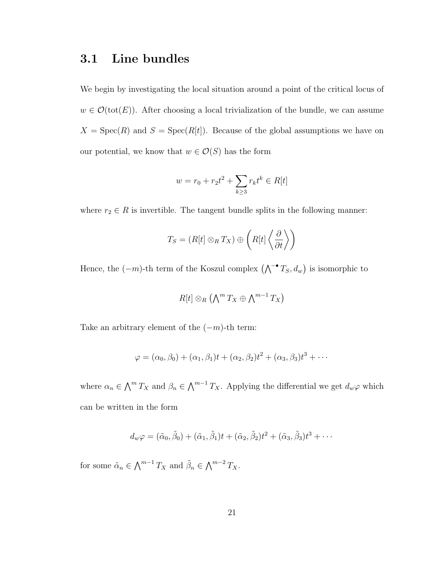### <span id="page-27-0"></span>3.1 Line bundles

We begin by investigating the local situation around a point of the critical locus of  $w \in \mathcal{O}(\text{tot}(E))$ . After choosing a local trivialization of the bundle, we can assume  $X = \text{Spec}(R)$  and  $S = \text{Spec}(R[t])$ . Because of the global assumptions we have on our potential, we know that  $w \in \mathcal{O}(S)$  has the form

$$
w = r_0 + r_2 t^2 + \sum_{k \ge 3} r_k t^k \in R[t]
$$

where  $r_2 \in R$  is invertible. The tangent bundle splits in the following manner:

$$
T_S = (R[t] \otimes_R T_X) \oplus \left(R[t] \left\langle \frac{\partial}{\partial t} \right\rangle\right)
$$

Hence, the  $(-m)$ -th term of the Koszul complex  $(\bigwedge^{\bullet} T_S, d_w)$  is isomorphic to

$$
R[t] \otimes_R (\bigwedge\nolimits^m T_X \oplus \bigwedge\nolimits^{m-1} T_X)
$$

Take an arbitrary element of the  $(-m)$ -th term:

$$
\varphi = (\alpha_0, \beta_0) + (\alpha_1, \beta_1)t + (\alpha_2, \beta_2)t^2 + (\alpha_3, \beta_3)t^3 + \cdots
$$

where  $\alpha_n \in \bigwedge^m T_X$  and  $\beta_n \in \bigwedge^{m-1} T_X$ . Applying the differential we get  $d_w\varphi$  which can be written in the form

$$
d_w\varphi=(\tilde{\alpha}_0,\tilde{\beta}_0)+(\tilde{\alpha}_1,\tilde{\beta}_1)t+(\tilde{\alpha}_2,\tilde{\beta}_2)t^2+(\tilde{\alpha}_3,\tilde{\beta}_3)t^3+\cdots
$$

for some  $\tilde{\alpha}_n \in \bigwedge^{m-1} T_X$  and  $\tilde{\beta}_n \in \bigwedge^{m-2} T_X$ .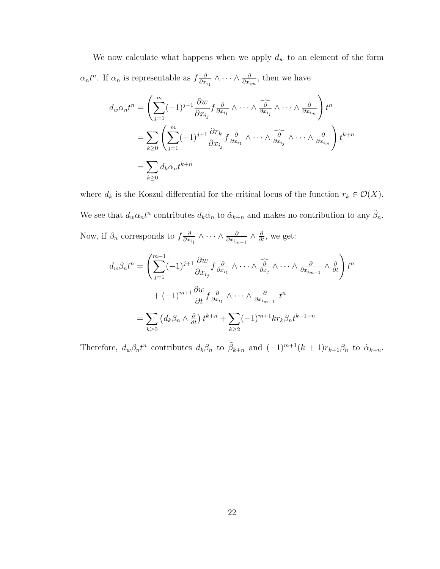We now calculate what happens when we apply  $d_w$  to an element of the form  $\alpha_n t^n$ . If  $\alpha_n$  is representable as  $f \frac{\partial}{\partial x}$  $\frac{\partial}{\partial x_{i_1}} \wedge \cdots \wedge \frac{\partial}{\partial x_{i_m}}$ , then we have

$$
d_w \alpha_n t^n = \left( \sum_{j=1}^m (-1)^{j+1} \frac{\partial w}{\partial x_{i_j}} f \frac{\partial}{\partial x_{i_1}} \wedge \cdots \wedge \widehat{\frac{\partial}{\partial x_{i_j}}} \wedge \cdots \wedge \frac{\partial}{\partial x_{i_m}} \right) t^n
$$
  
= 
$$
\sum_{k \ge 0} \left( \sum_{j=1}^m (-1)^{j+1} \frac{\partial r_k}{\partial x_{i_j}} f \frac{\partial}{\partial x_{i_1}} \wedge \cdots \wedge \widehat{\frac{\partial}{\partial x_{i_j}}} \wedge \cdots \wedge \frac{\partial}{\partial x_{i_m}} \right) t^{k+n}
$$
  
= 
$$
\sum_{k \ge 0} d_k \alpha_n t^{k+n}
$$

where  $d_k$  is the Koszul differential for the critical locus of the function  $r_k \in \mathcal{O}(X)$ . We see that  $d_w \alpha_n t^n$  contributes  $d_k \alpha_n$  to  $\tilde{\alpha}_{k+n}$  and makes no contribution to any  $\tilde{\beta}_n$ . Now, if  $\beta_n$  corresponds to  $f\frac{\partial}{\partial x}$  $\frac{\partial}{\partial x_{i_1}} \wedge \cdots \wedge \frac{\partial}{\partial x_{i_{m-1}}} \wedge \frac{\partial}{\partial t}$ , we get:

$$
d_w \beta_n t^n = \left( \sum_{j=1}^{m-1} (-1)^{j+1} \frac{\partial w}{\partial x_{i_j}} f \frac{\partial}{\partial x_{i_1}} \wedge \cdots \wedge \frac{\partial}{\partial x_j} \wedge \cdots \wedge \frac{\partial}{\partial x_{i_{m-1}}} \wedge \frac{\partial}{\partial t} \right) t^n
$$
  
+ 
$$
(-1)^{m+1} \frac{\partial w}{\partial t} f \frac{\partial}{\partial x_{i_1}} \wedge \cdots \wedge \frac{\partial}{\partial x_{i_{m-1}}} t^n
$$
  
= 
$$
\sum_{k \ge 0} (d_k \beta_n \wedge \frac{\partial}{\partial t}) t^{k+n} + \sum_{k \ge 2} (-1)^{m+1} k r_k \beta_n t^{k-1+n}
$$

Therefore,  $d_w\beta_n t^n$  contributes  $d_k\beta_n$  to  $\tilde{\beta}_{k+n}$  and  $(-1)^{m+1}(k+1)r_{k+1}\beta_n$  to  $\tilde{\alpha}_{k+n}$ .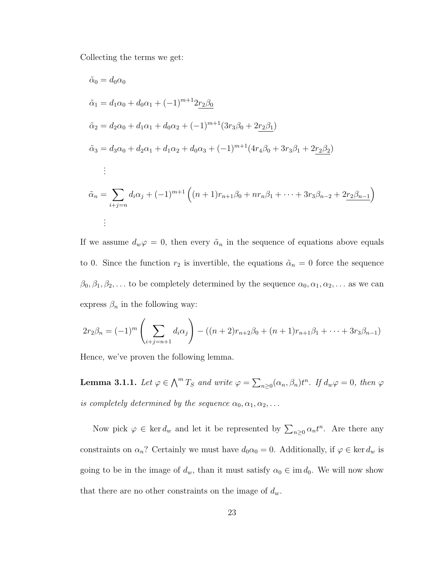Collecting the terms we get:

$$
\tilde{\alpha}_0 = d_0 \alpha_0
$$
\n
$$
\tilde{\alpha}_1 = d_1 \alpha_0 + d_0 \alpha_1 + (-1)^{m+1} 2r_2 \beta_0
$$
\n
$$
\tilde{\alpha}_2 = d_2 \alpha_0 + d_1 \alpha_1 + d_0 \alpha_2 + (-1)^{m+1} (3r_3 \beta_0 + 2r_2 \beta_1)
$$
\n
$$
\tilde{\alpha}_3 = d_3 \alpha_0 + d_2 \alpha_1 + d_1 \alpha_2 + d_0 \alpha_3 + (-1)^{m+1} (4r_4 \beta_0 + 3r_3 \beta_1 + 2r_2 \beta_2)
$$
\n
$$
\vdots
$$
\n
$$
\tilde{\alpha}_n = \sum_{i+j=n} d_i \alpha_j + (-1)^{m+1} \left( (n+1)r_{n+1} \beta_0 + nr_n \beta_1 + \dots + 3r_3 \beta_{n-2} + 2r_2 \beta_{n-1} \right)
$$
\n
$$
\vdots
$$

If we assume  $d_w\varphi = 0$ , then every  $\tilde{\alpha}_n$  in the sequence of equations above equals to 0. Since the function  $r_2$  is invertible, the equations  $\tilde{\alpha}_n = 0$  force the sequence  $\beta_0, \beta_1, \beta_2, \ldots$  to be completely determined by the sequence  $\alpha_0, \alpha_1, \alpha_2, \ldots$  as we can express  $\beta_n$  in the following way:

$$
2r_2\beta_n = (-1)^m \left(\sum_{i+j=n+1} d_i \alpha_j\right) - ((n+2)r_{n+2}\beta_0 + (n+1)r_{n+1}\beta_1 + \dots + 3r_3\beta_{n-1})
$$

<span id="page-29-0"></span>Hence, we've proven the following lemma.

**Lemma 3.1.1.** Let  $\varphi \in \bigwedge^m T_S$  and write  $\varphi = \sum_{n \geq 0} (\alpha_n, \beta_n) t^n$ . If  $d_w \varphi = 0$ , then  $\varphi$ is completely determined by the sequence  $\alpha_0, \alpha_1, \alpha_2, \ldots$ 

Now pick  $\varphi \in \ker d_w$  and let it be represented by  $\sum_{n\geq 0} \alpha_n t^n$ . Are there any constraints on  $\alpha_n$ ? Certainly we must have  $d_0\alpha_0 = 0$ . Additionally, if  $\varphi \in \ker d_w$  is going to be in the image of  $d_w$ , than it must satisfy  $\alpha_0 \in \text{im } d_0$ . We will now show that there are no other constraints on the image of  $d_w$ .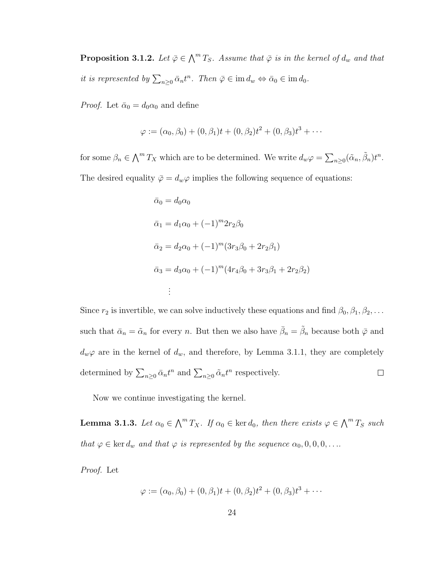<span id="page-30-0"></span>**Proposition 3.1.2.** Let  $\bar{\varphi} \in \bigwedge^m T_S$ . Assume that  $\bar{\varphi}$  is in the kernel of  $d_w$  and that it is represented by  $\sum_{n\geq 0} \bar{\alpha}_n t^n$ . Then  $\bar{\varphi} \in \text{im } d_w \Leftrightarrow \bar{\alpha}_0 \in \text{im } d_0$ .

*Proof.* Let  $\bar{\alpha}_0 = d_0 \alpha_0$  and define

$$
\varphi := (\alpha_0, \beta_0) + (0, \beta_1)t + (0, \beta_2)t^2 + (0, \beta_3)t^3 + \cdots
$$

for some  $\beta_n \in \bigwedge^m T_X$  which are to be determined. We write  $d_w\varphi = \sum_{n\geq 0} (\tilde{\alpha}_n, \tilde{\beta}_n)t^n$ . The desired equality  $\bar{\varphi} = d_w \varphi$  implies the following sequence of equations:

$$
\bar{\alpha}_0 = d_0 \alpha_0
$$
  
\n
$$
\bar{\alpha}_1 = d_1 \alpha_0 + (-1)^m 2r_2 \beta_0
$$
  
\n
$$
\bar{\alpha}_2 = d_2 \alpha_0 + (-1)^m (3r_3 \beta_0 + 2r_2 \beta_1)
$$
  
\n
$$
\bar{\alpha}_3 = d_3 \alpha_0 + (-1)^m (4r_4 \beta_0 + 3r_3 \beta_1 + 2r_2 \beta_2)
$$
  
\n:  
\n:

Since  $r_2$  is invertible, we can solve inductively these equations and find  $\beta_0, \beta_1, \beta_2, \ldots$ such that  $\bar{\alpha}_n = \tilde{\alpha}_n$  for every n. But then we also have  $\bar{\beta}_n = \tilde{\beta}_n$  because both  $\bar{\varphi}$  and  $d_w\varphi$  are in the kernel of  $d_w$ , and therefore, by Lemma [3](#page-29-0).1.1, they are completely determined by  $\sum_{n\geq 0} \bar{\alpha}_n t^n$  and  $\sum_{n\geq 0} \tilde{\alpha}_n t^n$  respectively.  $\Box$ 

Now we continue investigating the kernel.

<span id="page-30-1"></span>**Lemma 3.1.3.** Let  $\alpha_0 \in \bigwedge^m T_X$ . If  $\alpha_0 \in \text{ker } d_0$ , then there exists  $\varphi \in \bigwedge^m T_S$  such that  $\varphi \in \text{ker } d_w$  and that  $\varphi$  is represented by the sequence  $\alpha_0, 0, 0, 0, \ldots$ 

Proof. Let

$$
\varphi := (\alpha_0, \beta_0) + (0, \beta_1)t + (0, \beta_2)t^2 + (0, \beta_3)t^3 + \cdots
$$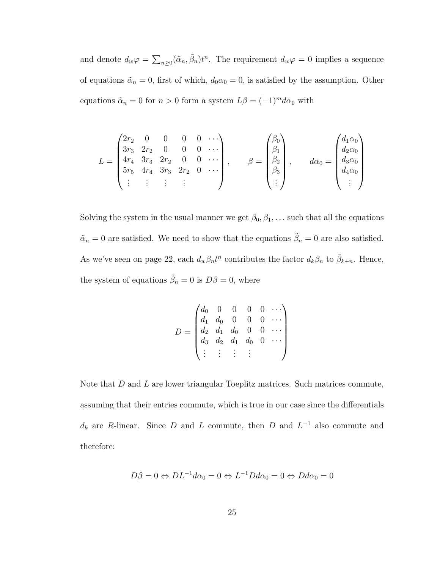and denote  $d_w \varphi = \sum_{n \geq 0} (\tilde{\alpha}_n, \tilde{\beta}_n) t^n$ . The requirement  $d_w \varphi = 0$  implies a sequence of equations  $\tilde{\alpha}_n = 0$ , first of which,  $d_0 \alpha_0 = 0$ , is satisfied by the assumption. Other equations  $\tilde{\alpha}_n = 0$  for  $n > 0$  form a system  $L\beta = (-1)^m d\alpha_0$  with

$$
L = \begin{pmatrix} 2r_2 & 0 & 0 & 0 & 0 & \cdots \\ 3r_3 & 2r_2 & 0 & 0 & 0 & \cdots \\ 4r_4 & 3r_3 & 2r_2 & 0 & 0 & \cdots \\ 5r_5 & 4r_4 & 3r_3 & 2r_2 & 0 & \cdots \\ \vdots & \vdots & \vdots & \vdots & \vdots \end{pmatrix}, \qquad \beta = \begin{pmatrix} \beta_0 \\ \beta_1 \\ \beta_2 \\ \beta_3 \\ \vdots \end{pmatrix}, \qquad d\alpha_0 = \begin{pmatrix} d_1\alpha_0 \\ d_2\alpha_0 \\ d_3\alpha_0 \\ d_4\alpha_0 \\ \vdots \end{pmatrix}
$$

Solving the system in the usual manner we get  $\beta_0, \beta_1, \ldots$  such that all the equations  $\tilde{\alpha}_n = 0$  are satisfied. We need to show that the equations  $\tilde{\beta}_n = 0$  are also satisfied. As we've seen on page [22,](#page-27-0) each  $d_w\beta_n t^n$  contributes the factor  $d_k\beta_n$  to  $\tilde{\beta}_{k+n}$ . Hence, the system of equations  $\tilde{\beta}_n = 0$  is  $D\beta = 0$ , where

$$
D = \begin{pmatrix} d_0 & 0 & 0 & 0 & 0 & \cdots \\ d_1 & d_0 & 0 & 0 & 0 & \cdots \\ d_2 & d_1 & d_0 & 0 & 0 & \cdots \\ d_3 & d_2 & d_1 & d_0 & 0 & \cdots \\ \vdots & \vdots & \vdots & \vdots & \vdots \end{pmatrix}
$$

Note that  $D$  and  $L$  are lower triangular Toeplitz matrices. Such matrices commute, assuming that their entries commute, which is true in our case since the differentials  $d_k$  are R-linear. Since D and L commute, then D and  $L^{-1}$  also commute and therefore:

$$
D\beta = 0 \Leftrightarrow DL^{-1}d\alpha_0 = 0 \Leftrightarrow L^{-1}Dd\alpha_0 = 0 \Leftrightarrow Dd\alpha_0 = 0
$$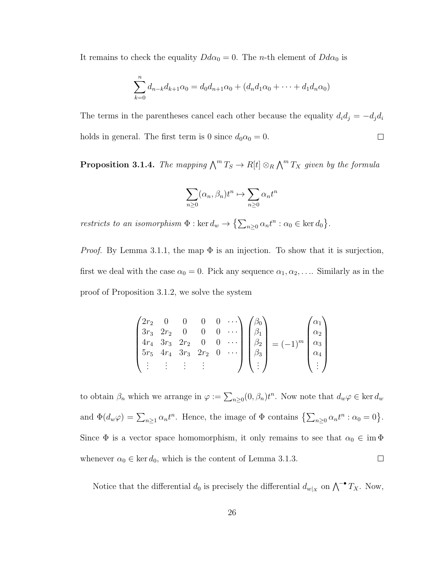It remains to check the equality  $Dd\alpha_0 = 0$ . The *n*-th element of  $Dd\alpha_0$  is

$$
\sum_{k=0}^{n} d_{n-k} d_{k+1} \alpha_0 = d_0 d_{n+1} \alpha_0 + (d_n d_1 \alpha_0 + \dots + d_1 d_n \alpha_0)
$$

The terms in the parentheses cancel each other because the equality  $d_i d_j = -d_j d_i$  $\Box$ holds in general. The first term is 0 since  $d_0\alpha_0 = 0$ .

<span id="page-32-0"></span>**Proposition 3.1.4.** The mapping  $\bigwedge^m T_S \to R[t] \otimes_R \bigwedge^m T_X$  given by the formula

$$
\sum_{n\geq 0}(\alpha_n,\beta_n)t^n\mapsto \sum_{n\geq 0}\alpha_nt^n
$$

restricts to an isomorphism  $\Phi : \ker d_w \to \{\sum_{n\geq 0} \alpha_n t^n : \alpha_0 \in \ker d_0\}.$ 

*Proof.* By Lemma [3](#page-29-0).1.1, the map  $\Phi$  is an injection. To show that it is surjection, first we deal with the case  $\alpha_0 = 0$ . Pick any sequence  $\alpha_1, \alpha_2, \ldots$  Similarly as in the proof of Proposition [3](#page-30-0).1.2, we solve the system

$$
\begin{pmatrix} 2r_2 & 0 & 0 & 0 & 0 & \cdots \\ 3r_3 & 2r_2 & 0 & 0 & 0 & \cdots \\ 4r_4 & 3r_3 & 2r_2 & 0 & 0 & \cdots \\ 5r_5 & 4r_4 & 3r_3 & 2r_2 & 0 & \cdots \\ \vdots & \vdots & \vdots & \vdots & \end{pmatrix} \begin{pmatrix} \beta_0 \\ \beta_1 \\ \beta_2 \\ \beta_3 \\ \vdots \end{pmatrix} = (-1)^m \begin{pmatrix} \alpha_1 \\ \alpha_2 \\ \alpha_3 \\ \alpha_4 \\ \vdots \end{pmatrix}
$$

to obtain  $\beta_n$  which we arrange in  $\varphi := \sum_{n\geq 0} (0, \beta_n) t^n$ . Now note that  $d_w \varphi \in \ker d_w$ and  $\Phi(d_w\varphi) = \sum_{n\geq 1} \alpha_n t^n$ . Hence, the image of  $\Phi$  contains  $\{\sum_{n\geq 0} \alpha_n t^n : \alpha_0 = 0\}$ . Since  $\Phi$  is a vector space homomorphism, it only remains to see that  $\alpha_0 \in \text{im } \Phi$  $\Box$ whenever  $\alpha_0 \in \text{ker } d_0$ , which is the content of Lemma [3](#page-30-1).1.3.

Notice that the differential  $d_0$  is precisely the differential  $d_{w|_X}$  on  $\bigwedge^{-\bullet} T_X$ . Now,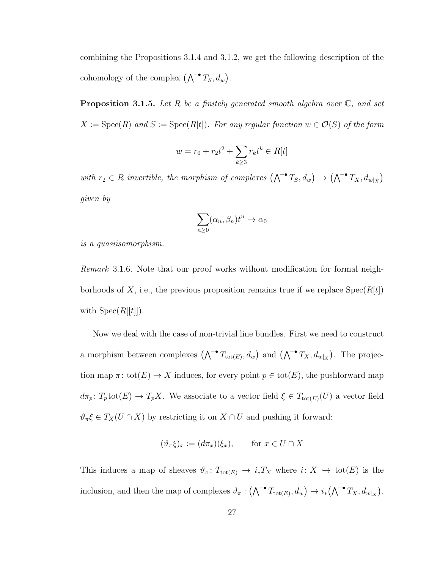combining the Propositions [3.1.4](#page-32-0) and [3.1.2,](#page-30-0) we get the following description of the cohomology of the complex  $(\bigwedge^{\bullet} T_S, d_w)$ .

<span id="page-33-0"></span>**Proposition 3.1.5.** Let R be a finitely generated smooth algebra over  $\mathbb{C}$ , and set  $X := \operatorname{Spec}(R)$  and  $S := \operatorname{Spec}(R[t])$ . For any regular function  $w \in \mathcal{O}(S)$  of the form

$$
w = r_0 + r_2 t^2 + \sum_{k \ge 3} r_k t^k \in R[t]
$$

with  $r_2 \in R$  invertible, the morphism of complexes  $(\bigwedge^{\bullet} T_S, d_w) \to (\bigwedge^{\bullet} T_X, d_{w|_X})$ given by

$$
\sum_{n\geq 0} (\alpha_n, \beta_n) t^n \mapsto \alpha_0
$$

<span id="page-33-1"></span>is a quasiisomorphism.

Remark 3.1.6. Note that our proof works without modification for formal neighborhoods of X, i.e., the previous proposition remains true if we replace  $Spec(R[t])$ with  $Spec(R[[t]])$ .

Now we deal with the case of non-trivial line bundles. First we need to construct a morphism between complexes  $(\bigwedge^{\bullet} T_{\text{tot}(E)}, d_w)$  and  $(\bigwedge^{\bullet} T_X, d_{w|_X})$ . The projection map  $\pi$ : tot $(E) \to X$  induces, for every point  $p \in \text{tot}(E)$ , the pushforward map  $d\pi_p$ :  $T_p$ tot $(E) \to T_pX$ . We associate to a vector field  $\xi \in T_{tot(E)}(U)$  a vector field  $\vartheta_{\pi}\xi \in T_X(U \cap X)$  by restricting it on  $X \cap U$  and pushing it forward:

$$
(\vartheta_{\pi}\xi)_{x} := (d\pi_{x})(\xi_{x}), \quad \text{for } x \in U \cap X
$$

This induces a map of sheaves  $\vartheta_{\pi} : T_{\text{tot}(E)} \to i_{*}T_{X}$  where  $i: X \hookrightarrow \text{tot}(E)$  is the inclusion, and then the map of complexes  $\vartheta_{\pi}: (\bigwedge^{\bullet} T_{\text{tot}(E)}, d_w) \to i_*(\bigwedge^{\bullet} T_X, d_{w|_X}).$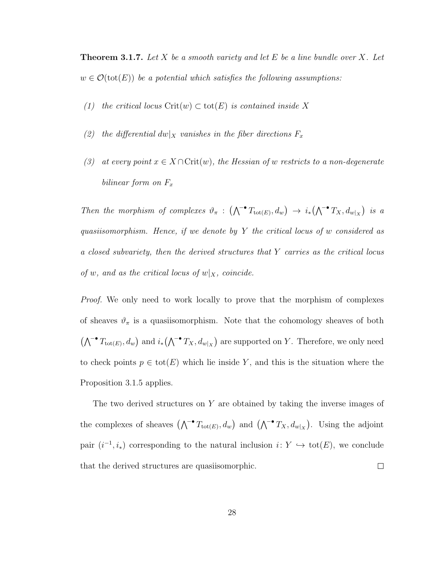<span id="page-34-0"></span>**Theorem 3.1.7.** Let X be a smooth variety and let E be a line bundle over X. Let  $w \in \mathcal{O}(\text{tot}(E))$  be a potential which satisfies the following assumptions:

- (1) the critical locus Crit $(w) \subset \text{tot}(E)$  is contained inside X
- (2) the differential  $dw|_X$  vanishes in the fiber directions  $F_x$
- (3) at every point  $x \in X \cap \text{Crit}(w)$ , the Hessian of w restricts to a non-degenerate bilinear form on  $F_x$

Then the morphism of complexes  $\vartheta_{\pi} : (\bigwedge^{\bullet} T_{\text{tot}(E)}, d_w) \to i_*(\bigwedge^{\bullet} T_X, d_{w|_X})$  is a quasiisomorphism. Hence, if we denote by Y the critical locus of w considered as a closed subvariety, then the derived structures that Y carries as the critical locus of w, and as the critical locus of  $w|_X$ , coincide.

*Proof.* We only need to work locally to prove that the morphism of complexes of sheaves  $\vartheta_{\pi}$  is a quasiisomorphism. Note that the cohomology sheaves of both  $(\bigwedge^{\bullet} T_{\text{tot}(E)}, d_w)$  and  $i_*(\bigwedge^{\bullet} T_X, d_{w|_X})$  are supported on Y. Therefore, we only need to check points  $p \in \text{tot}(E)$  which lie inside Y, and this is the situation where the Proposition [3](#page-33-0).1.5 applies.

The two derived structures on Y are obtained by taking the inverse images of the complexes of sheaves  $(\bigwedge^{\bullet} T_{\text{tot}(E)}, d_w)$  and  $(\bigwedge^{\bullet} T_X, d_{w|X})$ . Using the adjoint pair  $(i^{-1}, i_*)$  corresponding to the natural inclusion  $i: Y \hookrightarrow \text{tot}(E)$ , we conclude that the derived structures are quasiisomorphic.  $\Box$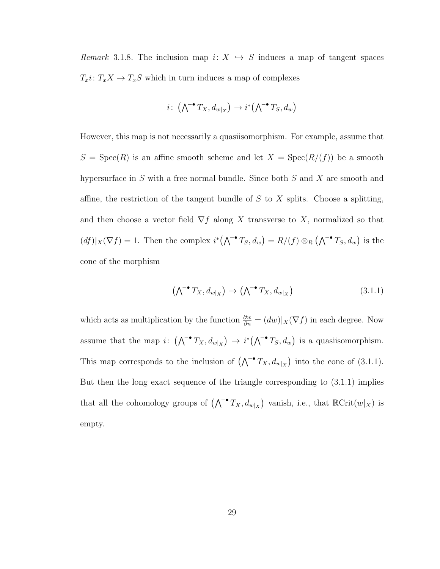<span id="page-35-0"></span>Remark 3.1.8. The inclusion map  $i: X \hookrightarrow S$  induces a map of tangent spaces  $T_xi\colon T_xX\to T_xS$  which in turn induces a map of complexes

$$
i\colon \left(\textstyle\bigwedge^{-\bullet} T_X, d_{w|_X}\right) \to i^*\left(\textstyle\bigwedge^{-\bullet} T_S, d_w\right)
$$

However, this map is not necessarily a quasiisomorphism. For example, assume that  $S = \text{Spec}(R)$  is an affine smooth scheme and let  $X = \text{Spec}(R/(f))$  be a smooth hypersurface in  $S$  with a free normal bundle. Since both  $S$  and  $X$  are smooth and affine, the restriction of the tangent bundle of  $S$  to  $X$  splits. Choose a splitting, and then choose a vector field  $\nabla f$  along X transverse to X, normalized so that  $(df)|_X(\nabla f) = 1$ . Then the complex  $i^*(\bigwedge^{-\bullet} T_S, d_w) = R/(f) \otimes_R (\bigwedge^{-\bullet} T_S, d_w)$  is the cone of the morphism

<span id="page-35-1"></span>
$$
\left(\bigwedge^{\bullet} T_X, d_{w|_X}\right) \to \left(\bigwedge^{\bullet} T_X, d_{w|_X}\right) \tag{3.1.1}
$$

which acts as multiplication by the function  $\frac{\partial w}{\partial n} = (dw)|_X(\nabla f)$  in each degree. Now assume that the map i:  $(\bigwedge^{\bullet} T_X, d_{w|X}) \rightarrow i^*(\bigwedge^{\bullet} T_S, d_w)$  is a quasiisomorphism. This map corresponds to the inclusion of  $(\bigwedge^{\bullet} T_X, d_{w|X})$  into the cone of [\(3.1.1\)](#page-35-1). But then the long exact sequence of the triangle corresponding to [\(3.1.1\)](#page-35-1) implies that all the cohomology groups of  $(\bigwedge^{\bullet} T_X, d_{w|_X})$  vanish, i.e., that  $\mathbb{R}\text{Crit}(w|_X)$  is empty.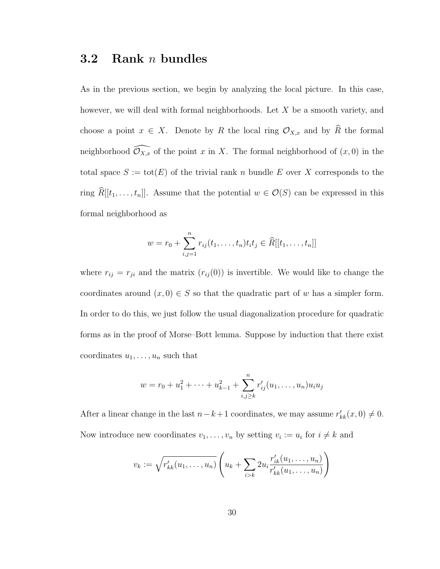### <span id="page-36-0"></span>3.2 Rank n bundles

As in the previous section, we begin by analyzing the local picture. In this case, however, we will deal with formal neighborhoods. Let X be a smooth variety, and choose a point  $x \in X$ . Denote by R the local ring  $\mathcal{O}_{X,x}$  and by  $\widehat{R}$  the formal neighborhood  $\widehat{\mathcal{O}_{X,x}}$  of the point x in X. The formal neighborhood of  $(x, 0)$  in the total space  $S := \text{tot}(E)$  of the trivial rank n bundle E over X corresponds to the ring  $\widehat{R}[[t_1, \ldots, t_n]]$ . Assume that the potential  $w \in \mathcal{O}(S)$  can be expressed in this formal neighborhood as

$$
w = r_0 + \sum_{i,j=1}^n r_{ij}(t_1, \dots, t_n) t_i t_j \in \widehat{R}[[t_1, \dots, t_n]]
$$

where  $r_{ij} = r_{ji}$  and the matrix  $(r_{ij}(0))$  is invertible. We would like to change the coordinates around  $(x, 0) \in S$  so that the quadratic part of w has a simpler form. In order to do this, we just follow the usual diagonalization procedure for quadratic forms as in the proof of Morse–Bott lemma. Suppose by induction that there exist coordinates  $u_1, \ldots, u_n$  such that

$$
w = r_0 + u_1^2 + \dots + u_{k-1}^2 + \sum_{i,j \ge k}^{n} r'_{ij}(u_1, \dots, u_n) u_i u_j
$$

After a linear change in the last  $n-k+1$  coordinates, we may assume  $r'_{kk}(x,0) \neq 0$ . Now introduce new coordinates  $v_1, \ldots, v_n$  by setting  $v_i := u_i$  for  $i \neq k$  and

$$
v_k := \sqrt{r'_{kk}(u_1, \dots, u_n)} \left( u_k + \sum_{i>k} 2u_i \frac{r'_{ik}(u_1, \dots, u_n)}{r'_{kk}(u_1, \dots, u_n)} \right)
$$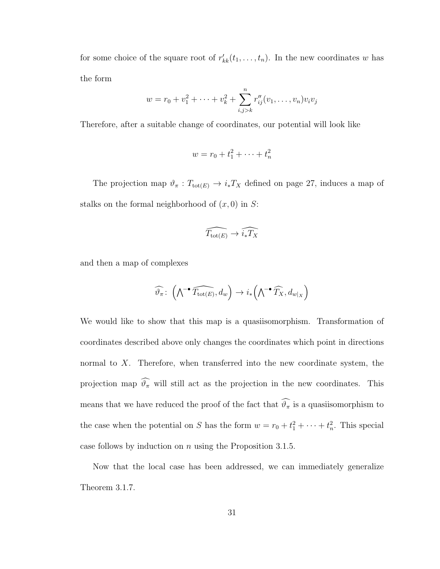for some choice of the square root of  $r'_{kk}(t_1, \ldots, t_n)$ . In the new coordinates w has the form

$$
w = r_0 + v_1^2 + \dots + v_k^2 + \sum_{i,j>k}^n r_{ij}''(v_1, \dots, v_n) v_i v_j
$$

Therefore, after a suitable change of coordinates, our potential will look like

$$
w = r_0 + t_1^2 + \dots + t_n^2
$$

The projection map  $\vartheta_{\pi}: T_{\text{tot}(E)} \to i_*T_X$  defined on page [27,](#page-33-1) induces a map of stalks on the formal neighborhood of  $(x, 0)$  in S:

$$
\widehat{T_{\text{tot}(E)}} \to \widehat{i_{*}T_X}
$$

and then a map of complexes

$$
\widehat{\vartheta_{\pi}}\colon \left(\widehat{\bigwedge}^{\bullet}\widehat{T_{\text{tot}(E)}},d_{w}\right)\to i_{*}\left(\widehat{\bigwedge}^{\bullet}\widehat{T_{X}},d_{w|_{X}}\right)
$$

We would like to show that this map is a quasiisomorphism. Transformation of coordinates described above only changes the coordinates which point in directions normal to  $X$ . Therefore, when transferred into the new coordinate system, the projection map  $\widehat{\vartheta_{\pi}}$  will still act as the projection in the new coordinates. This means that we have reduced the proof of the fact that  $\widehat{\vartheta_{\pi}}$  is a quasiisomorphism to the case when the potential on S has the form  $w = r_0 + t_1^2 + \cdots + t_n^2$ . This special case follows by induction on  $n$  using the Proposition [3](#page-33-0).1.5.

Now that the local case has been addressed, we can immediately generalize Theorem [3](#page-34-0).1.7.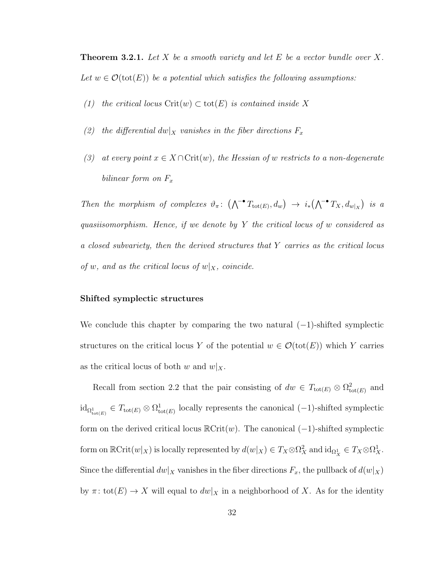**Theorem 3.2.1.** Let X be a smooth variety and let E be a vector bundle over X. Let  $w \in \mathcal{O}(\text{tot}(E))$  be a potential which satisfies the following assumptions:

- (1) the critical locus  $\mathrm{Crit}(w) \subset \mathrm{tot}(E)$  is contained inside X
- (2) the differential  $dw|_X$  vanishes in the fiber directions  $F_x$
- (3) at every point  $x \in X \cap \text{Crit}(w)$ , the Hessian of w restricts to a non-degenerate bilinear form on  $F_x$

Then the morphism of complexes  $\vartheta_{\pi}$ :  $(\bigwedge^{\bullet} T_{\text{tot}(E)}, d_w) \rightarrow i_*(\bigwedge^{\bullet} T_X, d_{w|_X})$  is a quasiisomorphism. Hence, if we denote by Y the critical locus of w considered as a closed subvariety, then the derived structures that Y carries as the critical locus of w, and as the critical locus of  $w|_X$ , coincide.

#### Shifted symplectic structures

We conclude this chapter by comparing the two natural  $(-1)$ -shifted symplectic structures on the critical locus Y of the potential  $w \in \mathcal{O}(\text{tot}(E))$  which Y carries as the critical locus of both w and  $w|_X$ .

Recall from section [2.2](#page-22-0) that the pair consisting of  $dw \in T_{\text{tot}(E)} \otimes \Omega_{\text{tot}(E)}^2$  and  $\mathrm{id}_{\Omega^1_{\mathrm{tot}(E)}} \in T_{\mathrm{tot}(E)} \otimes \Omega^1_{\mathrm{tot}(E)}$  locally represents the canonical (-1)-shifted symplectic form on the derived critical locus  $\mathbb{R}\text{Crit}(w)$ . The canonical  $(-1)$ -shifted symplectic form on  $\mathbb{R}\mathrm{Crit}(w|_X)$  is locally represented by  $d(w|_X) \in T_X \otimes \Omega^2_X$  and  $\mathrm{id}_{\Omega^1_X} \in T_X \otimes \Omega^1_X$ . Since the differential  $dw|_X$  vanishes in the fiber directions  $F_x$ , the pullback of  $d(w|_X)$ by  $\pi: \text{tot}(E) \to X$  will equal to  $dw|_X$  in a neighborhood of X. As for the identity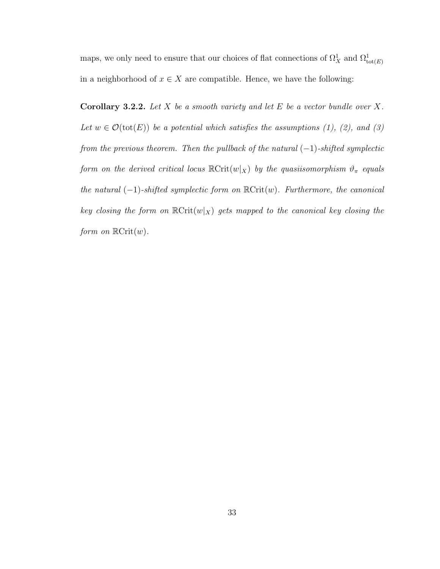maps, we only need to ensure that our choices of flat connections of  $\Omega^1_X$  and  $\Omega^1_{\text{tot}(E)}$ in a neighborhood of  $x \in X$  are compatible. Hence, we have the following:

**Corollary 3.2.2.** Let X be a smooth variety and let E be a vector bundle over X. Let  $w \in \mathcal{O}(\text{tot}(E))$  be a potential which satisfies the assumptions (1), (2), and (3) from the previous theorem. Then the pullback of the natural  $(-1)$ -shifted symplectic form on the derived critical locus  $\mathbb{R}\text{Crit}(w|_X)$  by the quasiisomorphism  $\vartheta_{\pi}$  equals the natural  $(-1)$ -shifted symplectic form on  $\mathbb{R}\text{Crit}(w)$ . Furthermore, the canonical key closing the form on  $\mathbb{R}\text{Crit}(w|_X)$  gets mapped to the canonical key closing the form on  $\mathbb{R}\mathrm{Crit}(w)$ .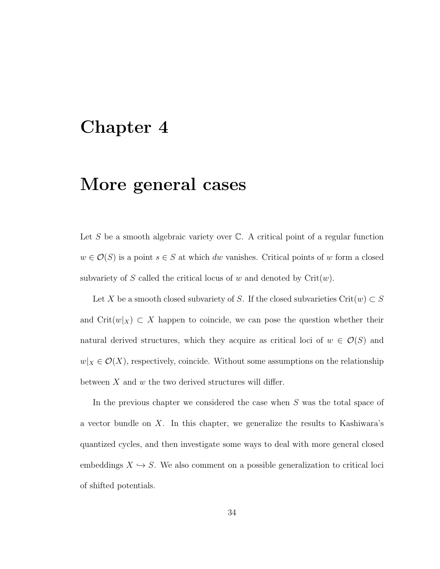# <span id="page-40-0"></span>Chapter 4

# More general cases

Let  $S$  be a smooth algebraic variety over  $\mathbb{C}$ . A critical point of a regular function  $w \in \mathcal{O}(S)$  is a point  $s \in S$  at which dw vanishes. Critical points of w form a closed subvariety of S called the critical locus of w and denoted by  $\mathrm{Crit}(w)$ .

Let X be a smooth closed subvariety of S. If the closed subvarieties  $Crit(w) \subset S$ and  $\mathrm{Crit}(w|_X) \subset X$  happen to coincide, we can pose the question whether their natural derived structures, which they acquire as critical loci of  $w \in \mathcal{O}(S)$  and  $w|_X\in \mathcal{O}(X),$  respectively, coincide. Without some assumptions on the relationship between  $X$  and  $w$  the two derived structures will differ.

In the previous chapter we considered the case when  $S$  was the total space of a vector bundle on  $X$ . In this chapter, we generalize the results to Kashiwara's quantized cycles, and then investigate some ways to deal with more general closed embeddings  $X \hookrightarrow S$ . We also comment on a possible generalization to critical loci of shifted potentials.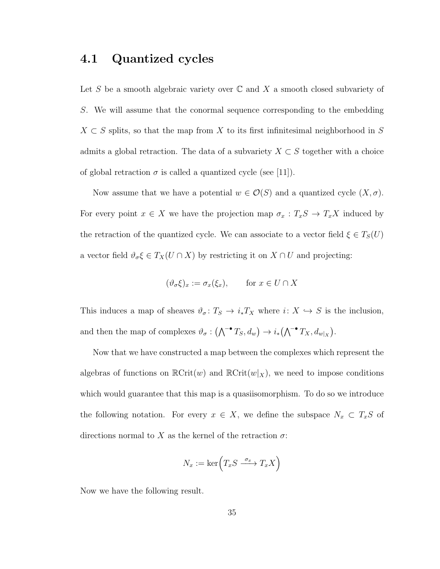### <span id="page-41-0"></span>4.1 Quantized cycles

Let S be a smooth algebraic variety over  $\mathbb C$  and X a smooth closed subvariety of S. We will assume that the conormal sequence corresponding to the embedding  $X \subset S$  splits, so that the map from X to its first infinitesimal neighborhood in S admits a global retraction. The data of a subvariety  $X \subset S$  together with a choice of global retraction  $\sigma$  is called a quantized cycle (see [\[11\]](#page-48-7)).

Now assume that we have a potential  $w \in \mathcal{O}(S)$  and a quantized cycle  $(X, \sigma)$ . For every point  $x \in X$  we have the projection map  $\sigma_x : T_xS \to T_xX$  induced by the retraction of the quantized cycle. We can associate to a vector field  $\xi \in T_S(U)$ a vector field  $\vartheta_{\sigma} \xi \in T_X(U \cap X)$  by restricting it on  $X \cap U$  and projecting:

$$
(\vartheta_{\sigma}\xi)_{x} := \sigma_{x}(\xi_{x}), \qquad \text{for } x \in U \cap X
$$

This induces a map of sheaves  $\vartheta_{\sigma} \colon T_S \to i_*T_X$  where  $i: X \hookrightarrow S$  is the inclusion, and then the map of complexes  $\vartheta_{\sigma} : (\bigwedge^{\bullet} T_S, d_w) \to i_*(\bigwedge^{\bullet} T_X, d_{w|_X}).$ 

Now that we have constructed a map between the complexes which represent the algebras of functions on  $\mathbb{R}\text{Crit}(w)$  and  $\mathbb{R}\text{Crit}(w|_X)$ , we need to impose conditions which would guarantee that this map is a quasiisomorphism. To do so we introduce the following notation. For every  $x \in X$ , we define the subspace  $N_x \subset T_xS$  of directions normal to X as the kernel of the retraction  $\sigma$ :

$$
N_x := \ker\left(T_x S \xrightarrow{\sigma_x} T_x X\right)
$$

Now we have the following result.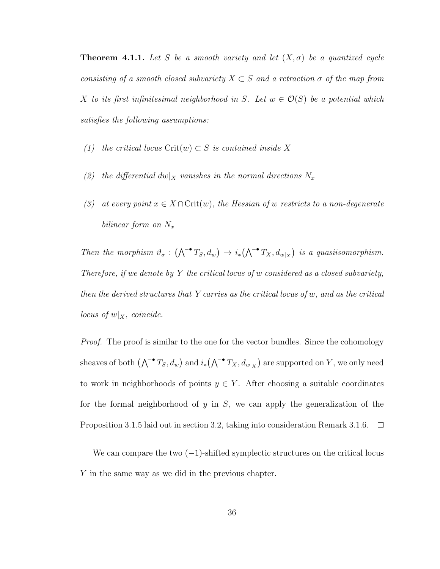<span id="page-42-0"></span>**Theorem 4.1.1.** Let S be a smooth variety and let  $(X, \sigma)$  be a quantized cycle consisting of a smooth closed subvariety  $X \subset S$  and a retraction  $\sigma$  of the map from X to its first infinitesimal neighborhood in S. Let  $w \in \mathcal{O}(S)$  be a potential which satisfies the following assumptions:

- (1) the critical locus Crit $(w) \subset S$  is contained inside X
- (2) the differential  $dw|_X$  vanishes in the normal directions  $N_x$
- (3) at every point  $x \in X \cap \text{Crit}(w)$ , the Hessian of w restricts to a non-degenerate bilinear form on  $N_x$

Then the morphism  $\vartheta_{\sigma} : (\bigwedge^{\bullet} T_S, d_w) \to i_*(\bigwedge^{\bullet} T_X, d_{w|_X})$  is a quasiisomorphism. Therefore, if we denote by  $Y$  the critical locus of  $w$  considered as a closed subvariety, then the derived structures that Y carries as the critical locus of w, and as the critical locus of  $w|_X$ , coincide.

*Proof.* The proof is similar to the one for the vector bundles. Since the cohomology sheaves of both  $(\bigwedge^{-\bullet} T_S, d_w)$  and  $i_*(\bigwedge^{-\bullet} T_X, d_{w|_X})$  are supported on Y, we only need to work in neighborhoods of points  $y \in Y$ . After choosing a suitable coordinates for the formal neighborhood of y in  $S$ , we can apply the generalization of the Proposition [3](#page-33-0).1.5 laid out in section [3.2,](#page-36-0) taking into consideration Remark [3](#page-33-1).1.6.  $\Box$ 

We can compare the two  $(-1)$ -shifted symplectic structures on the critical locus Y in the same way as we did in the previous chapter.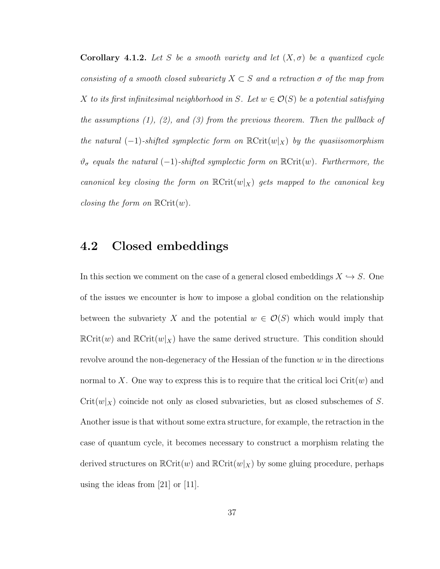**Corollary 4.1.2.** Let S be a smooth variety and let  $(X, \sigma)$  be a quantized cycle consisting of a smooth closed subvariety  $X \subset S$  and a retraction  $\sigma$  of the map from X to its first infinitesimal neighborhood in S. Let  $w \in \mathcal{O}(S)$  be a potential satisfying the assumptions  $(1)$ ,  $(2)$ , and  $(3)$  from the previous theorem. Then the pullback of the natural  $(-1)$ -shifted symplectic form on  $\mathbb{R}\text{Crit}(w|_X)$  by the quasiisomorphism  $\vartheta_{\sigma}$  equals the natural (-1)-shifted symplectic form on  $\mathbb{R}\text{Crit}(w)$ . Furthermore, the canonical key closing the form on  $\mathbb{R}\text{Crit}(w|_X)$  gets mapped to the canonical key closing the form on  $\mathbb{R}$ Crit $(w)$ .

### <span id="page-43-0"></span>4.2 Closed embeddings

In this section we comment on the case of a general closed embeddings  $X \hookrightarrow S$ . One of the issues we encounter is how to impose a global condition on the relationship between the subvariety X and the potential  $w \in \mathcal{O}(S)$  which would imply that  $\mathbb{R}\text{Crit}(w)$  and  $\mathbb{R}\text{Crit}(w|_X)$  have the same derived structure. This condition should revolve around the non-degeneracy of the Hessian of the function  $w$  in the directions normal to X. One way to express this is to require that the critical loci  $\operatorname{Crit}(w)$  and  $Crit(w|_X)$  coincide not only as closed subvarieties, but as closed subschemes of S. Another issue is that without some extra structure, for example, the retraction in the case of quantum cycle, it becomes necessary to construct a morphism relating the derived structures on  $\mathbb{R}\text{Crit}(w)$  and  $\mathbb{R}\text{Crit}(w|_X)$  by some gluing procedure, perhaps using the ideas from [\[21\]](#page-49-5) or [\[11\]](#page-48-7).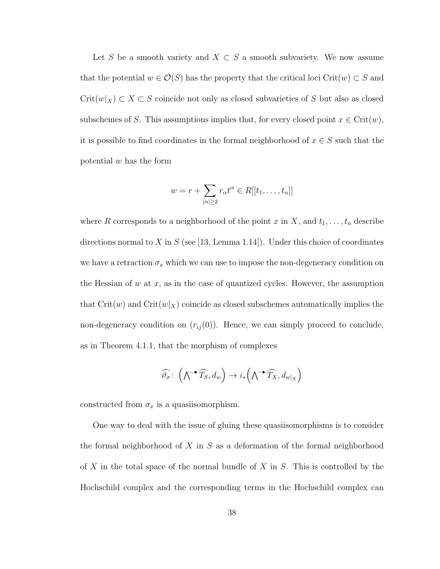Let S be a smooth variety and  $X \subset S$  a smooth subvariety. We now assume that the potential  $w \in \mathcal{O}(S)$  has the property that the critical loci Crit $(w) \subset S$  and  $Crit(w|_X) \subset X \subset S$  coincide not only as closed subvarieties of S but also as closed subschemes of S. This assumptions implies that, for every closed point  $x \in \text{Crit}(w)$ , it is possible to find coordinates in the formal neighborhood of  $x \in S$  such that the potential  $w$  has the form

$$
w = r + \sum_{|\alpha| \ge 2} r_{\alpha} t^{\alpha} \in R[[t_1, \dots, t_n]]
$$

where R corresponds to a neighborhood of the point x in X, and  $t_1, \ldots, t_n$  describe directions normal to X in S (see [\[13,](#page-48-4) Lemma 1.14]). Under this choice of coordinates we have a retraction  $\sigma_x$  which we can use to impose the non-degeneracy condition on the Hessian of  $w$  at  $x$ , as in the case of quantized cycles. However, the assumption that  $\mathrm{Crit}(w)$  and  $\mathrm{Crit}(w|_X)$  coincide as closed subschemes automatically implies the non-degeneracy condition on  $(r_{ij}(0))$ . Hence, we can simply proceed to conclude, as in Theorem [4](#page-42-0).1.1, that the morphism of complexes

$$
\widehat{\vartheta_{\sigma}}\colon \left(\bigwedge^{\bullet}\widehat{T_{S}},d_{w}\right)\to i_{*}\left(\bigwedge^{\bullet}\widehat{T_{X}},d_{w|_{X}}\right)
$$

constructed from  $\sigma_x$  is a quasiisomorphism.

One way to deal with the issue of gluing these quasiisomorphisms is to consider the formal neighborhood of  $X$  in  $S$  as a deformation of the formal neighborhood of  $X$  in the total space of the normal bundle of  $X$  in  $S$ . This is controlled by the Hochschild complex and the corresponding terms in the Hochschild complex can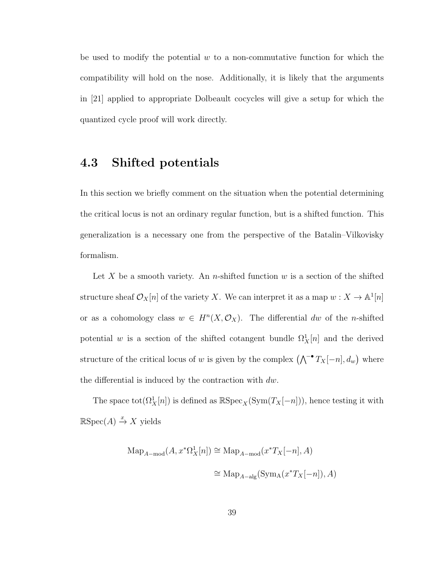be used to modify the potential  $w$  to a non-commutative function for which the compatibility will hold on the nose. Additionally, it is likely that the arguments in [\[21\]](#page-49-5) applied to appropriate Dolbeault cocycles will give a setup for which the quantized cycle proof will work directly.

### <span id="page-45-0"></span>4.3 Shifted potentials

In this section we briefly comment on the situation when the potential determining the critical locus is not an ordinary regular function, but is a shifted function. This generalization is a necessary one from the perspective of the Batalin–Vilkovisky formalism.

Let X be a smooth variety. An n-shifted function  $w$  is a section of the shifted structure sheaf  $\mathcal{O}_X[n]$  of the variety X. We can interpret it as a map  $w: X \to \mathbb{A}^1[n]$ or as a cohomology class  $w \in H^n(X, \mathcal{O}_X)$ . The differential dw of the n-shifted potential w is a section of the shifted cotangent bundle  $\Omega_X^1[n]$  and the derived structure of the critical locus of w is given by the complex  $(\bigwedge^{-\bullet} T_X[-n], d_w)$  where the differential is induced by the contraction with dw.

The space  $\text{tot}(\Omega_X^1[n])$  is defined as  $\mathbb{R}\text{Spec}_X(\text{Sym}(T_X[-n]))$ , hence testing it with  $\mathbb{R}Spec(A) \stackrel{x}{\to} X$  yields

$$
\begin{aligned} \text{Map}_{A-\text{mod}}(A, x^*\Omega^1_X[n]) &\cong \text{Map}_{A-\text{mod}}(x^*T_X[-n], A) \\ &\cong \text{Map}_{A-\text{alg}}(\text{Sym}_A(x^*T_X[-n]), A) \end{aligned}
$$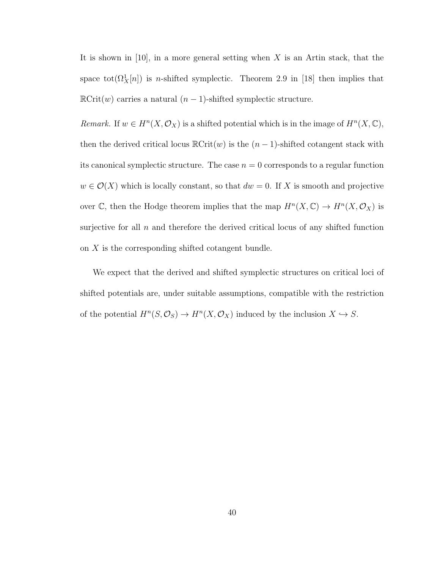It is shown in  $[10]$ , in a more general setting when X is an Artin stack, that the space  $\text{tot}(\Omega_X^1[n])$  is *n*-shifted symplectic. Theorem 2.9 in [\[18\]](#page-49-2) then implies that  $\mathbb{R}\text{Crit}(w)$  carries a natural  $(n-1)$ -shifted symplectic structure.

Remark. If  $w \in H^n(X, \mathcal{O}_X)$  is a shifted potential which is in the image of  $H^n(X, \mathbb{C}),$ then the derived critical locus  $\mathbb{R}\text{Crit}(w)$  is the  $(n-1)$ -shifted cotangent stack with its canonical symplectic structure. The case  $n = 0$  corresponds to a regular function  $w \in \mathcal{O}(X)$  which is locally constant, so that  $dw = 0$ . If X is smooth and projective over  $\mathbb{C}$ , then the Hodge theorem implies that the map  $H^{n}(X,\mathbb{C}) \to H^{n}(X,\mathcal{O}_X)$  is surjective for all  $n$  and therefore the derived critical locus of any shifted function on  $X$  is the corresponding shifted cotangent bundle.

We expect that the derived and shifted symplectic structures on critical loci of shifted potentials are, under suitable assumptions, compatible with the restriction of the potential  $H^n(S, \mathcal{O}_S) \to H^n(X, \mathcal{O}_X)$  induced by the inclusion  $X \hookrightarrow S$ .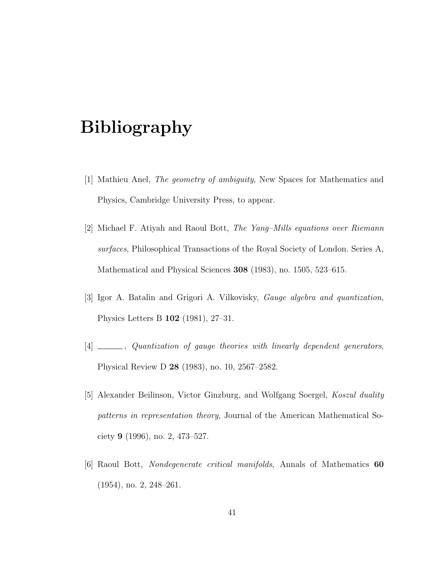# <span id="page-47-0"></span>Bibliography

- <span id="page-47-3"></span>[1] Mathieu Anel, The geometry of ambiguity, New Spaces for Mathematics and Physics, Cambridge University Press, to appear.
- <span id="page-47-4"></span>[2] Michael F. Atiyah and Raoul Bott, The Yang–Mills equations over Riemann surfaces, Philosophical Transactions of the Royal Society of London. Series A, Mathematical and Physical Sciences 308 (1983), no. 1505, 523–615.
- <span id="page-47-1"></span>[3] Igor A. Batalin and Grigori A. Vilkovisky, Gauge algebra and quantization, Physics Letters B 102 (1981), 27–31.
- <span id="page-47-2"></span>[4] \_\_\_\_\_, Quantization of gauge theories with linearly dependent generators, Physical Review D 28 (1983), no. 10, 2567–2582.
- <span id="page-47-5"></span>[5] Alexander Beilinson, Victor Ginzburg, and Wolfgang Soergel, Koszul duality patterns in representation theory, Journal of the American Mathematical Society 9 (1996), no. 2, 473–527.
- <span id="page-47-6"></span>[6] Raoul Bott, Nondegenerate critical manifolds, Annals of Mathematics 60 (1954), no. 2, 248–261.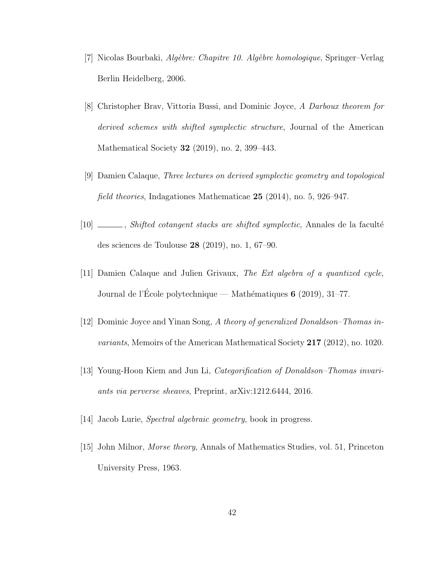- <span id="page-48-5"></span>[7] Nicolas Bourbaki, Algèbre: Chapitre 10. Algèbre homologique, Springer–Verlag Berlin Heidelberg, 2006.
- <span id="page-48-6"></span>[8] Christopher Brav, Vittoria Bussi, and Dominic Joyce, A Darboux theorem for derived schemes with shifted symplectic structure, Journal of the American Mathematical Society 32 (2019), no. 2, 399–443.
- <span id="page-48-0"></span>[9] Damien Calaque, Three lectures on derived symplectic geometry and topological field theories, Indagationes Mathematicae 25 (2014), no. 5, 926–947.
- <span id="page-48-8"></span>[10] \_\_\_\_, Shifted cotangent stacks are shifted symplectic, Annales de la faculté des sciences de Toulouse 28 (2019), no. 1, 67–90.
- <span id="page-48-7"></span>[11] Damien Calaque and Julien Grivaux, The Ext algebra of a quantized cycle, Journal de l'École polytechnique — Mathématiques  $6$  (2019), 31–77.
- <span id="page-48-3"></span>[12] Dominic Joyce and Yinan Song, A theory of generalized Donaldson–Thomas invariants, Memoirs of the American Mathematical Society 217 (2012), no. 1020.
- <span id="page-48-4"></span>[13] Young-Hoon Kiem and Jun Li, Categorification of Donaldson–Thomas invariants via perverse sheaves, Preprint, arXiv:1212.6444, 2016.
- <span id="page-48-2"></span><span id="page-48-1"></span>[14] Jacob Lurie, *Spectral algebraic geometry*, book in progress.
- [15] John Milnor, Morse theory, Annals of Mathematics Studies, vol. 51, Princeton University Press, 1963.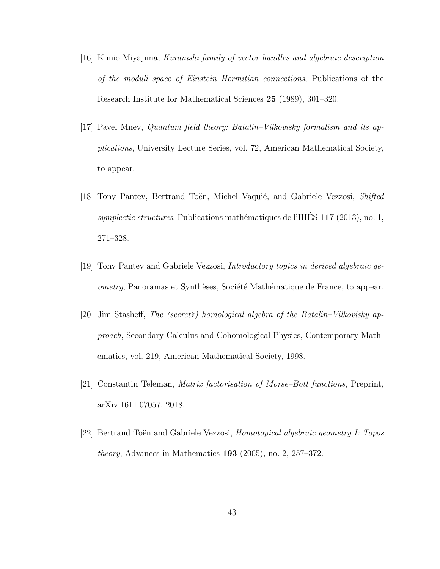- <span id="page-49-3"></span>[16] Kimio Miyajima, Kuranishi family of vector bundles and algebraic description of the moduli space of Einstein–Hermitian connections, Publications of the Research Institute for Mathematical Sciences 25 (1989), 301–320.
- <span id="page-49-0"></span>[17] Pavel Mnev, Quantum field theory: Batalin–Vilkovisky formalism and its applications, University Lecture Series, vol. 72, American Mathematical Society, to appear.
- <span id="page-49-2"></span>[18] Tony Pantev, Bertrand Toën, Michel Vaquié, and Gabriele Vezzosi, Shifted symplectic structures, Publications mathématiques de l'IHÉS  $117$  (2013), no. 1, 271–328.
- <span id="page-49-4"></span>[19] Tony Pantev and Gabriele Vezzosi, Introductory topics in derived algebraic geometry, Panoramas et Synthèses, Société Mathématique de France, to appear.
- <span id="page-49-1"></span>[20] Jim Stasheff, The (secret?) homological algebra of the Batalin–Vilkovisky approach, Secondary Calculus and Cohomological Physics, Contemporary Mathematics, vol. 219, American Mathematical Society, 1998.
- <span id="page-49-5"></span>[21] Constantin Teleman, Matrix factorisation of Morse–Bott functions, Preprint, arXiv:1611.07057, 2018.
- [22] Bertrand Toën and Gabriele Vezzosi, *Homotopical algebraic geometry I: Topos* theory, Advances in Mathematics 193 (2005), no. 2, 257–372.